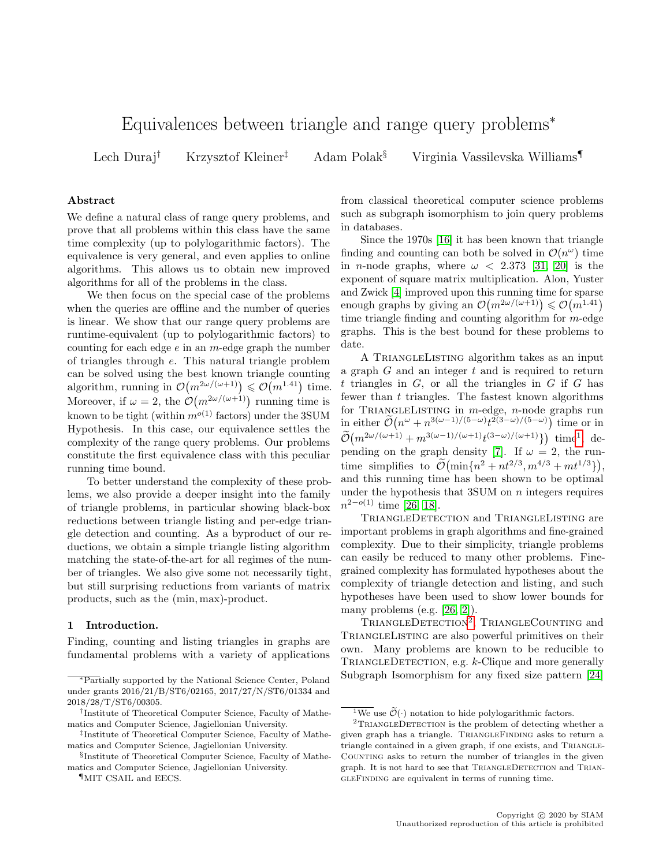# Equivalences between triangle and range query problems<sup>∗</sup>

Lech Duraj† Krzysztof Kleiner‡ Adam Polak§ Virginia Vassilevska Williams¶

# Abstract

We define a natural class of range query problems, and prove that all problems within this class have the same time complexity (up to polylogarithmic factors). The equivalence is very general, and even applies to online algorithms. This allows us to obtain new improved algorithms for all of the problems in the class.

We then focus on the special case of the problems when the queries are offline and the number of queries is linear. We show that our range query problems are runtime-equivalent (up to polylogarithmic factors) to counting for each edge  $e$  in an  $m$ -edge graph the number of triangles through e. This natural triangle problem can be solved using the best known triangle counting algorithm, running in  $\mathcal{O}(m^{2\omega/(\omega+1)}) \leq \mathcal{O}(m^{1.41})$  time. Moreover, if  $\omega = 2$ , the  $\mathcal{O}(m^{2\omega/(\omega+1)})$  running time is known to be tight (within  $m^{o(1)}$  factors) under the 3SUM Hypothesis. In this case, our equivalence settles the complexity of the range query problems. Our problems constitute the first equivalence class with this peculiar running time bound.

To better understand the complexity of these problems, we also provide a deeper insight into the family of triangle problems, in particular showing black-box reductions between triangle listing and per-edge triangle detection and counting. As a byproduct of our reductions, we obtain a simple triangle listing algorithm matching the state-of-the-art for all regimes of the number of triangles. We also give some not necessarily tight, but still surprising reductions from variants of matrix products, such as the (min, max)-product.

#### 1 Introduction.

Finding, counting and listing triangles in graphs are fundamental problems with a variety of applications

from classical theoretical computer science problems such as subgraph isomorphism to join query problems in databases.

Since the 1970s [\[16\]](#page-16-0) it has been known that triangle finding and counting can both be solved in  $\mathcal{O}(n^{\omega})$  time in *n*-node graphs, where  $\omega$  < 2.373 [\[31,](#page-16-1) [20\]](#page-16-2) is the exponent of square matrix multiplication. Alon, Yuster and Zwick [\[4\]](#page-15-0) improved upon this running time for sparse enough graphs by giving an  $\mathcal{O}(m^{2\omega/(\omega+1)}) \leq \mathcal{O}(m^{1.41})$ time triangle finding and counting algorithm for  $m$ -edge graphs. This is the best bound for these problems to date.

A TriangleListing algorithm takes as an input a graph  $G$  and an integer  $t$  and is required to return  $t$  triangles in  $G$ , or all the triangles in  $G$  if  $G$  has fewer than  $t$  triangles. The fastest known algorithms for TRIANGLELISTING in  $m$ -edge,  $n$ -node graphs run in either  $\tilde{\mathcal{O}}(n^{\omega}+n^{3(\omega-1)/(5-\omega)}t^{2(3-\omega)/(5-\omega)})$  time or in  $\tilde{\mathcal{O}}(m^{2\omega/(\omega+1)} + m^{3(\omega-1)/(\omega+1)}t^{(3-\omega)/(\omega+1)}) \text{ time}^1, \text{ de-}$  $\tilde{\mathcal{O}}(m^{2\omega/(\omega+1)} + m^{3(\omega-1)/(\omega+1)}t^{(3-\omega)/(\omega+1)}) \text{ time}^1, \text{ de-}$  $\tilde{\mathcal{O}}(m^{2\omega/(\omega+1)} + m^{3(\omega-1)/(\omega+1)}t^{(3-\omega)/(\omega+1)}) \text{ time}^1, \text{ de-}$ pending on the graph density [\[7\]](#page-15-1). If  $\omega = 2$ , the runtime simplifies to  $\tilde{\mathcal{O}}(\min\{n^2 + nt^{2/3}, m^{4/3} + mt^{1/3}\}),$ and this running time has been shown to be optimal under the hypothesis that  $35$ UM on  $n$  integers requires  $n^{2-o(1)}$  time [\[26,](#page-16-3) [18\]](#page-16-4).

TriangleDetection and TriangleListing are important problems in graph algorithms and fine-grained complexity. Due to their simplicity, triangle problems can easily be reduced to many other problems. Finegrained complexity has formulated hypotheses about the complexity of triangle detection and listing, and such hypotheses have been used to show lower bounds for many problems (e.g. [\[26,](#page-16-3) [2\]](#page-15-2)).

TRIANGLEDETECTION<sup>[2](#page-0-1)</sup>, TRIANGLECOUNTING and TriangleListing are also powerful primitives on their own. Many problems are known to be reducible to TRIANGLEDETECTION, e.g. k-Clique and more generally Subgraph Isomorphism for any fixed size pattern [\[24\]](#page-16-5)

<sup>∗</sup>Partially supported by the National Science Center, Poland under grants 2016/21/B/ST6/02165, 2017/27/N/ST6/01334 and 2018/28/T/ST6/00305.

<sup>†</sup> Institute of Theoretical Computer Science, Faculty of Mathematics and Computer Science, Jagiellonian University.

<sup>‡</sup> Institute of Theoretical Computer Science, Faculty of Mathematics and Computer Science, Jagiellonian University.

<sup>§</sup> Institute of Theoretical Computer Science, Faculty of Mathematics and Computer Science, Jagiellonian University.

<sup>¶</sup>MIT CSAIL and EECS.

<span id="page-0-1"></span><span id="page-0-0"></span><sup>&</sup>lt;sup>1</sup>We use  $\widetilde{\mathcal{O}}(\cdot)$  notation to hide polylogarithmic factors.

 $2$ TRIANGLEDETECTION is the problem of detecting whether a given graph has a triangle. TRIANGLEFINDING asks to return a triangle contained in a given graph, if one exists, and TRIANGLE-COUNTING asks to return the number of triangles in the given graph. It is not hard to see that TRIANGLEDETECTION and TRIANgleFinding are equivalent in terms of running time.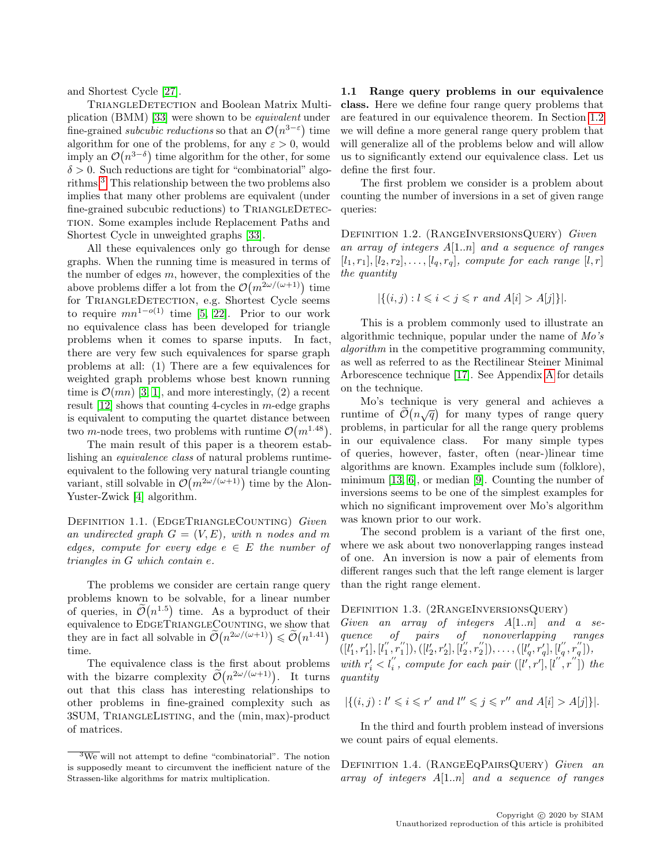and Shortest Cycle [\[27\]](#page-16-6).

TRIANGLEDETECTION and Boolean Matrix Multiplication (BMM) [\[33\]](#page-17-0) were shown to be equivalent under fine-grained *subcubic reductions* so that an  $\mathcal{O}(n^{3-\epsilon})$  time algorithm for one of the problems, for any  $\varepsilon > 0$ , would imply an  $\mathcal{O}(n^{3-\delta})$  time algorithm for the other, for some  $\delta > 0$ . Such reductions are tight for "combinatorial" algorithms.[3](#page-1-0) This relationship between the two problems also implies that many other problems are equivalent (under fine-grained subcubic reductions) to TRIANGLEDETECtion. Some examples include Replacement Paths and Shortest Cycle in unweighted graphs [\[33\]](#page-17-0).

All these equivalences only go through for dense graphs. When the running time is measured in terms of the number of edges  $m$ , however, the complexities of the above problems differ a lot from the  $\mathcal{O}(m^{2\omega/(\omega+1)})$  time for TRIANGLEDETECTION, e.g. Shortest Cycle seems to require  $mn^{1-o(1)}$  time [\[5,](#page-15-3) [22\]](#page-16-7). Prior to our work no equivalence class has been developed for triangle problems when it comes to sparse inputs. In fact, there are very few such equivalences for sparse graph problems at all: (1) There are a few equivalences for weighted graph problems whose best known running time is  $\mathcal{O}(mn)$  [\[3,](#page-15-4) [1\]](#page-15-5), and more interestingly, (2) a recent result  $[12]$  shows that counting 4-cycles in m-edge graphs is equivalent to computing the quartet distance between two *m*-node trees, two problems with runtime  $\mathcal{O}(m^{1.48})$ .

The main result of this paper is a theorem establishing an equivalence class of natural problems runtimeequivalent to the following very natural triangle counting variant, still solvable in  $\mathcal{O}(m^{2\omega/(\omega+1)})$  time by the Alon-Yuster-Zwick [\[4\]](#page-15-0) algorithm.

DEFINITION 1.1. (EDGETRIANGLECOUNTING) Given an undirected graph  $G = (V, E)$ , with n nodes and m edges, compute for every edge  $e \in E$  the number of triangles in G which contain e.

The problems we consider are certain range query problems known to be solvable, for a linear number of queries, in  $\tilde{\mathcal{O}}(n^{1.5})$  time. As a byproduct of their equivalence to EDGETRIANGLECOUNTING, we show that they are in fact all solvable in  $\widetilde{\mathcal{O}}(n^{2\omega/(\omega+1)}) \leq \widetilde{\mathcal{O}}(n^{1.41})$ time.

The equivalence class is the first about problems with the bizarre complexity  $\tilde{\mathcal{O}}(n^{2\omega/(\omega+1)})$ . It turns out that this class has interesting relationships to other problems in fine-grained complexity such as 3SUM, TriangleListing, and the (min, max)-product of matrices.

<span id="page-1-1"></span>1.1 Range query problems in our equivalence class. Here we define four range query problems that are featured in our equivalence theorem. In Section [1.2](#page-2-0) we will define a more general range query problem that will generalize all of the problems below and will allow us to significantly extend our equivalence class. Let us define the first four.

The first problem we consider is a problem about counting the number of inversions in a set of given range queries:

DEFINITION 1.2. (RANGEINVERSIONSQUERY) Given an array of integers  $A[1..n]$  and a sequence of ranges  $[l_1, r_1], [l_2, r_2], \ldots, [l_q, r_q],$  compute for each range  $[l, r]$ the quantity

$$
|\{(i,j) : l \le i < j \le r \text{ and } A[i] > A[j]\}|.
$$

This is a problem commonly used to illustrate an algorithmic technique, popular under the name of Mo's algorithm in the competitive programming community, as well as referred to as the Rectilinear Steiner Minimal Arborescence technique [\[17\]](#page-16-9). See Appendix [A](#page-14-0) for details on the technique.

Mo's technique is very general and achieves a runtime of  $\tilde{\mathcal{O}}(n\sqrt{q})$  for many types of range query problems, in particular for all the range query problems in our equivalence class. For many simple types of queries, however, faster, often (near-)linear time algorithms are known. Examples include sum (folklore), minimum [\[13,](#page-16-10) [6\]](#page-15-6), or median [\[9\]](#page-16-11). Counting the number of inversions seems to be one of the simplest examples for which no significant improvement over Mo's algorithm was known prior to our work.

The second problem is a variant of the first one, where we ask about two nonoverlapping ranges instead of one. An inversion is now a pair of elements from different ranges such that the left range element is larger than the right range element.

#### Definition 1.3. (2RangeInversionsQuery)

Given an array of integers  $A[1..n]$  and a sequence of pairs of nonoverlapping ranges  $([l'_1, r'_1], [l''_1, r''_1]), ([l'_2, r'_2], [l''_2, r''_2]), \ldots, ([l'_q, r'_q], [l''_q, r''_q]),$ with  $r'_i < l''_i$ , compute for each pair  $([l', r'], [l'', r''])$  the quantity

$$
|\{(i,j) : l' \le i \le r' \text{ and } l'' \le j \le r'' \text{ and } A[i] > A[j]\}|.
$$

In the third and fourth problem instead of inversions we count pairs of equal elements.

DEFINITION 1.4. (RANGEEQPAIRSQUERY) Given an array of integers  $A[1..n]$  and a sequence of ranges

<span id="page-1-0"></span> $\sqrt[3]{3}$  will not attempt to define "combinatorial". The notion is supposedly meant to circumvent the inefficient nature of the Strassen-like algorithms for matrix multiplication.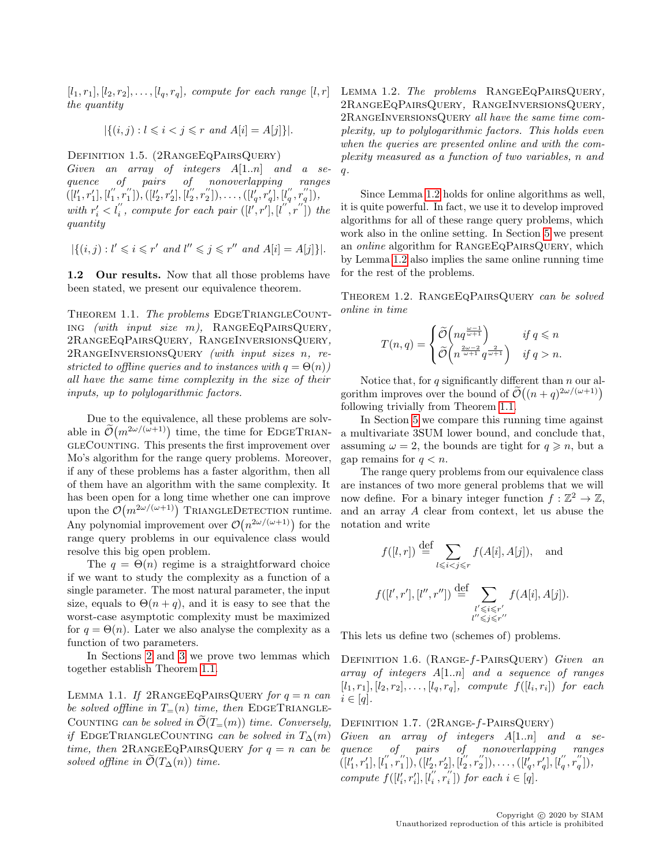$[l_1, r_1], [l_2, r_2], \ldots, [l_q, r_q],$  compute for each range  $[l, r]$ the quantity

$$
|\{(i,j) : l \le i < j \le r \text{ and } A[i] = A[j]\}|.
$$

Definition 1.5. (2RangeEqPairsQuery)

Given an array of integers A[1..n] and a sequence of pairs of nonoverlapping ranges  $([l'_1, r'_1], [l''_1, r''_1]), ([l'_2, r'_2], [l''_2, r''_2]), \ldots, ([l'_q, r'_q], [l''_q, r''_q]),$ with  $r'_i < l''_i$ , compute for each pair  $([l', r'], [l'', r''])$  the quantity

$$
|\{(i,j): l' \leq i \leq r' \text{ and } l'' \leq j \leq r'' \text{ and } A[i] = A[j]\}|.
$$

<span id="page-2-0"></span>1.2 Our results. Now that all those problems have been stated, we present our equivalence theorem.

<span id="page-2-1"></span>THEOREM 1.1. The problems EDGETRIANGLECOUNT- $\text{ING}$  (with input size m), RANGEEQPAIRSQUERY, 2RangeEqPairsQuery, RangeInversionsQuery, 2RangeInversionsQuery (with input sizes n, restricted to offline queries and to instances with  $q = \Theta(n)$ ) all have the same time complexity in the size of their inputs, up to polylogarithmic factors.

Due to the equivalence, all these problems are solvable in  $\tilde{\mathcal{O}}(m^{2\omega/(\omega+1)})$  time, the time for EDGETRIANgleCounting. This presents the first improvement over Mo's algorithm for the range query problems. Moreover, if any of these problems has a faster algorithm, then all of them have an algorithm with the same complexity. It has been open for a long time whether one can improve upon the  $\mathcal{O}(m^{2\omega/(\omega+1)})$  TRIANGLEDETECTION runtime. Any polynomial improvement over  $\mathcal{O}(n^{2\omega/(\omega+1)})$  for the range query problems in our equivalence class would resolve this big open problem.

The  $q = \Theta(n)$  regime is a straightforward choice if we want to study the complexity as a function of a single parameter. The most natural parameter, the input size, equals to  $\Theta(n + q)$ , and it is easy to see that the worst-case asymptotic complexity must be maximized for  $q = \Theta(n)$ . Later we also analyse the complexity as a function of two parameters.

In Sections [2](#page-5-0) and [3](#page-7-0) we prove two lemmas which together establish Theorem [1.1.](#page-2-1)

<span id="page-2-3"></span><span id="page-2-2"></span>LEMMA 1.1. If  $2$ RANGEEQPAIRSQUERY for  $q = n$  can be solved offline in  $T=(n)$  time, then EDGETRIANGLE-COUNTING can be solved in  $\tilde{\mathcal{O}}(T_{=}(m))$  time. Conversely, if EDGETRIANGLECOUNTING can be solved in  $T_{\Delta}(m)$ time, then 2RANGEEQPAIRSQUERY for  $q = n$  can be solved offline in  $\tilde{\mathcal{O}}(T_{\Delta}(n))$  time.

LEMMA 1.2. The problems RANGEEQPAIRSQUERY, 2RangeEqPairsQuery, RangeInversionsQuery, 2RangeInversionsQuery all have the same time complexity, up to polylogarithmic factors. This holds even when the queries are presented online and with the complexity measured as a function of two variables, n and  $q$ .

Since Lemma [1.2](#page-2-2) holds for online algorithms as well, it is quite powerful. In fact, we use it to develop improved algorithms for all of these range query problems, which work also in the online setting. In Section [5](#page-12-0) we present an *online* algorithm for RANGEEQPAIRSQUERY, which by Lemma [1.2](#page-2-2) also implies the same online running time for the rest of the problems.

<span id="page-2-4"></span>THEOREM 1.2. RANGEEQPAIRSQUERY can be solved online in time

$$
T(n,q) = \begin{cases} \widetilde{\mathcal{O}}\left(nq^{\frac{\omega-1}{\omega+1}}\right) & \text{if } q \leq n \\ \widetilde{\mathcal{O}}\left(n^{\frac{2\omega-2}{\omega+1}}q^{\frac{2}{\omega+1}}\right) & \text{if } q > n. \end{cases}
$$

Notice that, for  $q$  significantly different than  $n$  our algorithm improves over the bound of  $\tilde{\mathcal{O}}((n+q)^{2\omega/(\omega+1)})$ following trivially from Theorem [1.1.](#page-2-1)

In Section [5](#page-12-0) we compare this running time against a multivariate 3SUM lower bound, and conclude that, assuming  $\omega = 2$ , the bounds are tight for  $q \ge n$ , but a gap remains for  $q < n$ .

The range query problems from our equivalence class are instances of two more general problems that we will now define. For a binary integer function  $f : \mathbb{Z}^2 \to \mathbb{Z}$ , and an array A clear from context, let us abuse the notation and write

$$
f([l,r]) \stackrel{\text{def}}{=} \sum_{l \leqslant i < j \leqslant r} f(A[i], A[j]), \text{ and}
$$
\n
$$
f([l',r'], [l'',r'']) \stackrel{\text{def}}{=} \sum_{\substack{l' \leqslant i \leqslant r'\\l'' \leqslant j \leqslant r''}} f(A[i], A[j]).
$$

This lets us define two (schemes of) problems.

DEFINITION 1.6. (RANGE- $f$ -PAIRSQUERY) Given an array of integers A[1..n] and a sequence of ranges  $[l_1, r_1], [l_2, r_2], \ldots, [l_q, r_q],$  compute  $f([l_i, r_i])$  for each  $i \in [q]$ .

DEFINITION 1.7. (2RANGE-f-PAIRSQUERY)

Given an array of integers  $A[1..n]$  and a sequence of pairs of nonoverlapping ranges  $([l'_1, r'_1], [l''_1, r''_1]), ([l'_2, r'_2], [l''_2, r''_2]), \ldots, ([l'_q, r'_q], [l''_q, r''_q]),$ compute  $f([l'_i, r'_i], [l''_i, r''_i])$  for each  $i \in [q]$ .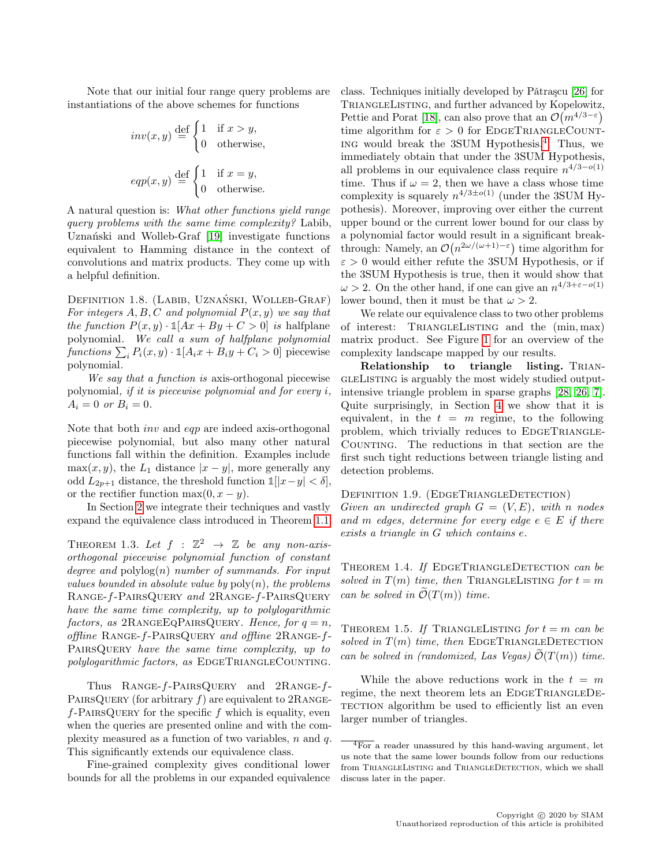Note that our initial four range query problems are instantiations of the above schemes for functions

$$
inv(x, y) \stackrel{\text{def}}{=} \begin{cases} 1 & \text{if } x > y, \\ 0 & \text{otherwise,} \end{cases}
$$
  

$$
eqp(x, y) \stackrel{\text{def}}{=} \begin{cases} 1 & \text{if } x = y, \\ 0 & \text{otherwise.} \end{cases}
$$

A natural question is: What other functions yield range query problems with the same time complexity? Labib, Uznański and Wolleb-Graf [\[19\]](#page-16-12) investigate functions equivalent to Hamming distance in the context of convolutions and matrix products. They come up with a helpful definition.

DEFINITION 1.8. (LABIB, UZNAŃSKI, WOLLEB-GRAF) For integers  $A, B, C$  and polynomial  $P(x, y)$  we say that the function  $P(x, y) \cdot \mathbb{1}[Ax + By + C > 0]$  is halfplane polynomial. We call a sum of halfplane polynomial functions  $\sum_i P_i(x, y) \cdot \mathbb{1}[A_i x + B_i y + C_i > 0]$  piecewise polynomial.

We say that a function is axis-orthogonal piecewise polynomial, if it is piecewise polynomial and for every i,  $A_i = 0 \text{ or } B_i = 0.$ 

Note that both inv and eqp are indeed axis-orthogonal piecewise polynomial, but also many other natural functions fall within the definition. Examples include max $(x, y)$ , the L<sub>1</sub> distance  $|x - y|$ , more generally any odd  $L_{2p+1}$  distance, the threshold function  $\mathbb{1}[|x-y| < \delta],$ or the rectifier function max $(0, x - y)$ .

In Section [2](#page-5-0) we integrate their techniques and vastly expand the equivalence class introduced in Theorem [1.1.](#page-2-1)

<span id="page-3-1"></span>THEOREM 1.3. Let  $f : \mathbb{Z}^2 \to \mathbb{Z}$  be any non-axisorthogonal piecewise polynomial function of constant degree and  $\text{polylog}(n)$  number of summands. For input values bounded in absolute value by  $poly(n)$ , the problems Range-f-PairsQuery and 2Range-f-PairsQuery have the same time complexity, up to polylogarithmic factors, as  $2$ RANGEEQPAIRSQUERY. Hence, for  $q = n$ , offline Range-f-PairsQuery and offline 2Range-f-PAIRSQUERY have the same time complexity, up to polylogarithmic factors, as EDGETRIANGLECOUNTING.

Thus Range-f-PairsQuery and 2Range-f-PAIRSQUERY (for arbitrary  $f$ ) are equivalent to 2RANGE $f$ -PAIRSQUERY for the specific f which is equality, even when the queries are presented online and with the complexity measured as a function of two variables,  $n$  and  $q$ . This significantly extends our equivalence class.

Fine-grained complexity gives conditional lower bounds for all the problems in our expanded equivalence class. Techniques initially developed by Pǎtraşcu  $[26]$  for TriangleListing, and further advanced by Kopelowitz, Pettie and Porat [\[18\]](#page-16-4), can also prove that an  $\mathcal{O}(m^{4/3-\epsilon})$ time algorithm for  $\varepsilon > 0$  for EDGETRIANGLECOUNTing would break the 3SUM Hypothesis.[4](#page-3-0) Thus, we immediately obtain that under the 3SUM Hypothesis, all problems in our equivalence class require  $n^{4/3-o(1)}$ time. Thus if  $\omega = 2$ , then we have a class whose time complexity is squarely  $n^{4/3 \pm o(1)}$  (under the 3SUM Hypothesis). Moreover, improving over either the current upper bound or the current lower bound for our class by a polynomial factor would result in a significant breakthrough: Namely, an  $\mathcal{O}(n^{2\omega/(\omega+1)-\varepsilon})$  time algorithm for  $\varepsilon > 0$  would either refute the 3SUM Hypothesis, or if the 3SUM Hypothesis is true, then it would show that  $\omega > 2$ . On the other hand, if one can give an  $n^{4/3 + \varepsilon - o(1)}$ lower bound, then it must be that  $\omega > 2$ .

We relate our equivalence class to two other problems of interest: TRIANGLELISTING and the  $(min, max)$ matrix product. See Figure [1](#page-4-0) for an overview of the complexity landscape mapped by our results.

Relationship to triangle listing. TRIAN-GLELISTING is arguably the most widely studied outputintensive triangle problem in sparse graphs [\[28,](#page-16-13) [26,](#page-16-3) [7\]](#page-15-1). Quite surprisingly, in Section [4](#page-8-0) we show that it is equivalent, in the  $t = m$  regime, to the following problem, which trivially reduces to EDGETRIANGLE-COUNTING. The reductions in that section are the first such tight reductions between triangle listing and detection problems.

DEFINITION 1.9. (EDGETRIANGLEDETECTION) Given an undirected graph  $G = (V, E)$ , with n nodes and m edges, determine for every edge  $e \in E$  if there exists a triangle in G which contains e.

<span id="page-3-3"></span>THEOREM 1.4. If EDGETRIANGLEDETECTION can be solved in  $T(m)$  time, then TRIANGLELISTING for  $t = m$ can be solved in  $\mathcal{O}(T(m))$  time.

<span id="page-3-2"></span>THEOREM 1.5. If TRIANGLELISTING for  $t = m$  can be solved in  $T(m)$  time, then EDGETRIANGLEDETECTION can be solved in (randomized, Las Vegas)  $\mathcal{O}(T(m))$  time.

While the above reductions work in the  $t = m$ regime, the next theorem lets an EDGETRIANGLEDE-TECTION algorithm be used to efficiently list an even larger number of triangles.

<span id="page-3-4"></span><span id="page-3-0"></span> $\sqrt[4]{4}$  For a reader unassured by this hand-waving argument, let us note that the same lower bounds follow from our reductions from TRIANGLELISTING and TRIANGLEDETECTION, which we shall discuss later in the paper.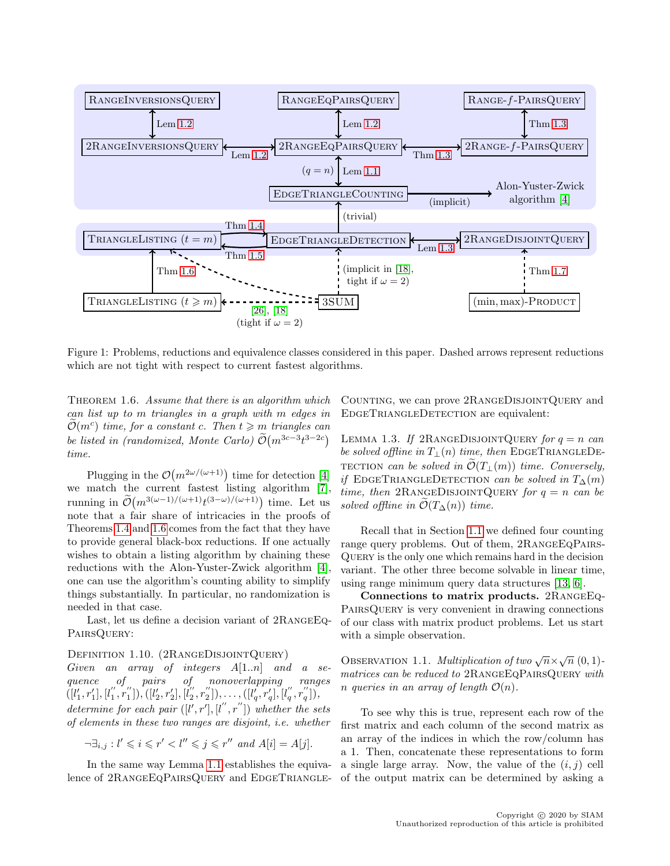

<span id="page-4-0"></span>Figure 1: Problems, reductions and equivalence classes considered in this paper. Dashed arrows represent reductions which are not tight with respect to current fastest algorithms.

THEOREM 1.6. Assume that there is an algorithm which can list up to m triangles in a graph with m edges in  $\widetilde{\mathcal{O}}(m^c)$  time, for a constant c. Then  $t \geqslant m$  triangles can be listed in (randomized, Monte Carlo)  $\tilde{\mathcal{O}}(m^{3c-3}t^{3-2c})$ time.

Plugging in the  $\mathcal{O}(m^{2\omega/(\omega+1)})$  time for detection [\[4\]](#page-15-0) we match the current fastest listing algorithm [\[7\]](#page-15-1), running in  $\widetilde{\mathcal{O}}(m^{3(\omega-1)/(\omega+1)}t^{(3-\omega)/(\omega+1)})$  time. Let us note that a fair share of intricacies in the proofs of Theorems [1.4](#page-3-3) and [1.6](#page-3-4) comes from the fact that they have to provide general black-box reductions. If one actually wishes to obtain a listing algorithm by chaining these reductions with the Alon-Yuster-Zwick algorithm [\[4\]](#page-15-0), one can use the algorithm's counting ability to simplify things substantially. In particular, no randomization is needed in that case.

Last, let us define a decision variant of 2RangeEq-PAIRSQUERY:

### Definition 1.10. (2RangeDisjointQuery)

Given an array of integers  $A[1..n]$  and a sequence of pairs of nonoverlapping ranges  $([l'_1, r'_1], [l''_1, r''_1]), ([l'_2, r'_2], [l''_2, r''_2]), \ldots, ([l'_q, r'_q], [l''_q, r''_q]),$ determine for each pair  $([l', r'], [l'', r''])$  whether the sets of elements in these two ranges are disjoint, i.e. whether

$$
\neg \exists_{i,j} : l' \leqslant i \leqslant r' < l'' \leqslant j \leqslant r'' \text{ and } A[i] = A[j].
$$

In the same way Lemma [1.1](#page-2-3) establishes the equivalence of 2RANGEEQPAIRSQUERY and EDGETRIANGLE- Counting, we can prove 2RangeDisjointQuery and EDGETRIANGLEDETECTION are equivalent:

<span id="page-4-1"></span>LEMMA 1.3. If 2RANGEDISJOINTQUERY for  $q = n$  can be solved offline in  $T_{\perp}(n)$  time, then EDGETRIANGLEDE-TECTION can be solved in  $\mathcal{O}(T_{\perp}(m))$  time. Conversely, if EDGETRIANGLEDETECTION can be solved in  $T_{\Delta}(m)$ time, then 2RANGEDISJOINTQUERY for  $q = n$  can be solved offline in  $\mathcal{O}(T_{\Delta}(n))$  time.

Recall that in Section [1.1](#page-1-1) we defined four counting range query problems. Out of them, 2RANGEEQPAIRS-Query is the only one which remains hard in the decision variant. The other three become solvable in linear time, using range minimum query data structures [\[13,](#page-16-10) [6\]](#page-15-6).

Connections to matrix products. 2RangeEq-PAIRSQUERY is very convenient in drawing connections of our class with matrix product problems. Let us start with a simple observation.

<span id="page-4-2"></span>OBSERVATION 1.1. Multiplication of two  $\sqrt{n} \times \sqrt{n} (0,1)$ matrices can be reduced to 2RANGEEQPAIRSQUERY with n queries in an array of length  $\mathcal{O}(n)$ .

To see why this is true, represent each row of the first matrix and each column of the second matrix as an array of the indices in which the row/column has a 1. Then, concatenate these representations to form a single large array. Now, the value of the  $(i, j)$  cell of the output matrix can be determined by asking a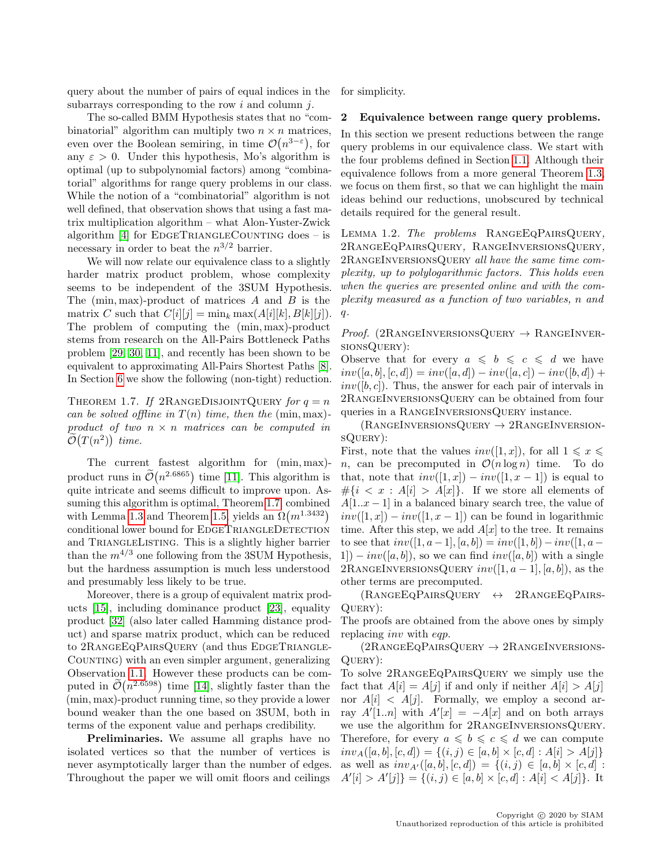query about the number of pairs of equal indices in the subarrays corresponding to the row  $i$  and column  $j$ .

The so-called BMM Hypothesis states that no "combinatorial" algorithm can multiply two  $n \times n$  matrices, even over the Boolean semiring, in time  $\mathcal{O}(n^{3-\epsilon})$ , for any  $\varepsilon > 0$ . Under this hypothesis, Mo's algorithm is optimal (up to subpolynomial factors) among "combinatorial" algorithms for range query problems in our class. While the notion of a "combinatorial" algorithm is not well defined, that observation shows that using a fast matrix multiplication algorithm – what Alon-Yuster-Zwick algorithm  $[4]$  for EDGETRIANGLECOUNTING does – is necessary in order to beat the  $n^{3/2}$  barrier.

We will now relate our equivalence class to a slightly harder matrix product problem, whose complexity seems to be independent of the 3SUM Hypothesis. The  $(\min, \max)$ -product of matrices A and B is the matrix C such that  $C[i][j] = \min_k \max(A[i][k], B[k][j]).$ The problem of computing the (min, max)-product stems from research on the All-Pairs Bottleneck Paths problem [\[29,](#page-16-14) [30,](#page-16-15) [11\]](#page-16-16), and recently has been shown to be equivalent to approximating All-Pairs Shortest Paths [\[8\]](#page-16-17). In Section [6](#page-13-0) we show the following (non-tight) reduction.

<span id="page-5-1"></span>THEOREM 1.7. If 2RANGEDISJOINTQUERY for  $q = n$ can be solved offline in  $T(n)$  time, then the (min, max)product of two  $n \times n$  matrices can be computed in  $\tilde{\mathcal{O}}(T(n^2))$  time.

The current fastest algorithm for (min, max) product runs in  $\tilde{\mathcal{O}}(n^{2.6865})$  time [\[11\]](#page-16-16). This algorithm is quite intricate and seems difficult to improve upon. Assuming this algorithm is optimal, Theorem [1.7,](#page-5-1) combined with Lemma [1.3](#page-4-1) and Theorem [1.5,](#page-3-2) yields an  $\Omega(m^{1.3432})$ conditional lower bound for EDGETRIANGLEDETECTION and TRIANGLELISTING. This is a slightly higher barrier than the  $m^{4/3}$  one following from the 3SUM Hypothesis, but the hardness assumption is much less understood and presumably less likely to be true.

Moreover, there is a group of equivalent matrix products [\[15\]](#page-16-18), including dominance product [\[23\]](#page-16-19), equality product [\[32\]](#page-17-1) (also later called Hamming distance product) and sparse matrix product, which can be reduced to 2RANGEEQPAIRSQUERY (and thus EDGETRIANGLE-COUNTING) with an even simpler argument, generalizing Observation [1.1.](#page-4-2) However these products can be computed in  $\tilde{\mathcal{O}}(n^{2.6598})$  time [\[14\]](#page-16-20), slightly faster than the (min, max)-product running time, so they provide a lower bound weaker than the one based on 3SUM, both in terms of the exponent value and perhaps credibility.

Preliminaries. We assume all graphs have no isolated vertices so that the number of vertices is never asymptotically larger than the number of edges. Throughout the paper we will omit floors and ceilings for simplicity.

#### <span id="page-5-0"></span>2 Equivalence between range query problems.

In this section we present reductions between the range query problems in our equivalence class. We start with the four problems defined in Section [1.1.](#page-1-1) Although their equivalence follows from a more general Theorem [1.3,](#page-3-1) we focus on them first, so that we can highlight the main ideas behind our reductions, unobscured by technical details required for the general result.

LEMMA 1.2. The problems RANGEEQPAIRSQUERY, 2RangeEqPairsQuery, RangeInversionsQuery, 2RANGEINVERSIONSQUERY all have the same time complexity, up to polylogarithmic factors. This holds even when the queries are presented online and with the complexity measured as a function of two variables, n and  $q$ .

*Proof.* (2RANGEINVERSIONSQUERY  $\rightarrow$  RANGEINVERsionsQuery):

Observe that for every  $a \leq b \leq c \leq d$  we have  $inv([a, b], [c, d]) = inv([a, d]) - inv([a, c]) - inv([b, d]) +$  $inv([b, c])$ . Thus, the answer for each pair of intervals in 2RangeInversionsQuery can be obtained from four queries in a RANGEINVERSIONSQUERY instance.

 $(RANGEINVERSIONSQUERY \rightarrow 2RANGEINVERSION$ sQuery):

First, note that the values  $inv([1, x])$ , for all  $1 \leq x \leq$ n, can be precomputed in  $\mathcal{O}(n \log n)$  time. To do that, note that  $inv([1, x]) - inv([1, x - 1])$  is equal to  $\#\{i < x : A[i] > A[x]\}.$  If we store all elements of  $A[1..x-1]$  in a balanced binary search tree, the value of  $inv([1, x]) - inv([1, x - 1])$  can be found in logarithmic time. After this step, we add  $A[x]$  to the tree. It remains to see that  $inv([1, a-1], [a, b]) = inv([1, b]) - inv([1, a 1$ ]) –  $inv([a, b])$ , so we can find  $inv([a, b])$  with a single 2RANGEINVERSIONSQUERY  $inv([1, a-1], [a, b])$ , as the other terms are precomputed.

 $(RANGEEQPAIRSQUERY \leftrightarrow 2RANGEEQPAIRS-$ Query):

The proofs are obtained from the above ones by simply replacing *inv* with *eqp.* 

 $(2R$ ANGEEQPAIRSQUERY  $\rightarrow 2R$ ANGEINVERSIONS-QUERY):

To solve 2RangeEqPairsQuery we simply use the fact that  $A[i] = A[j]$  if and only if neither  $A[i] > A[j]$ nor  $A[i] < A[j]$ . Formally, we employ a second array  $A'[1..n]$  with  $A'[x] = -A[x]$  and on both arrays we use the algorithm for 2RangeInversionsQuery. Therefore, for every  $a \leqslant b \leqslant c \leqslant d$  we can compute  $inv_A([a, b], [c, d]) = \{(i, j) \in [a, b] \times [c, d] : A[i] > A[j]\}$ as well as  $inv_{A'}([a, b], [c, d]) = \{(i, j) \in [a, b] \times [c, d] :$  $A'[i] > A'[j]$  = { $(i, j) \in [a, b] \times [c, d] : A[i] < A[j]$  }. It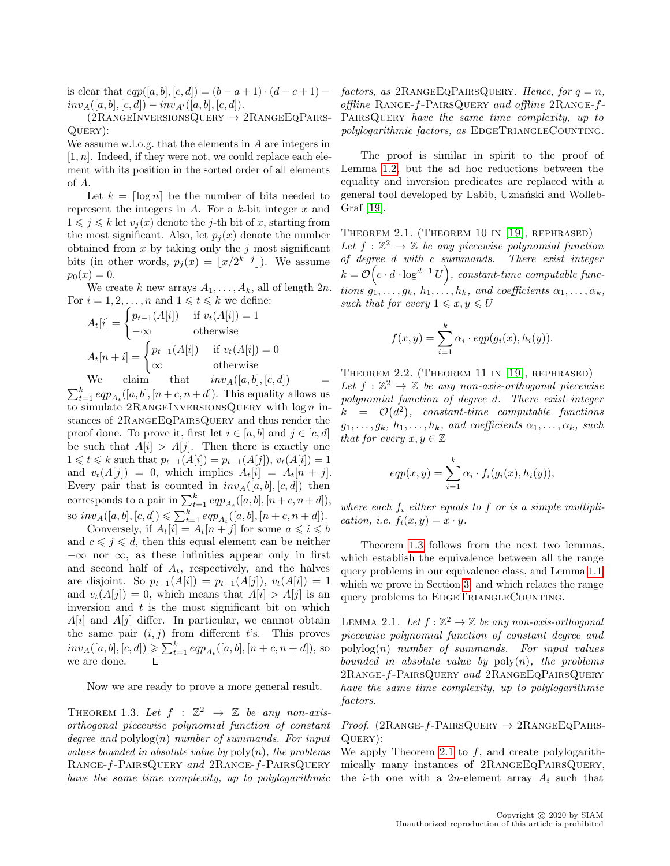is clear that  $eqp([a, b], [c, d]) = (b - a + 1) \cdot (d - c + 1)$  $inv_A([a, b], [c, d]) - inv_{A'}([a, b], [c, d]).$ 

 $(2R$ ANGEINVERSIONSQUERY  $\rightarrow 2R$ ANGEEQPAIRS-Query):

We assume w.l.o.g. that the elements in A are integers in  $[1, n]$ . Indeed, if they were not, we could replace each element with its position in the sorted order of all elements of A.

Let  $k = \lceil \log n \rceil$  be the number of bits needed to represent the integers in  $A$ . For a k-bit integer  $x$  and  $1 \leq i \leq k$  let  $v_i(x)$  denote the *j*-th bit of x, starting from the most significant. Also, let  $p_i(x)$  denote the number obtained from  $x$  by taking only the  $j$  most significant bits (in other words,  $p_j(x) = \lfloor x/2^{k-j} \rfloor$ ). We assume  $p_0(x) = 0.$ 

We create k new arrays  $A_1, \ldots, A_k$ , all of length  $2n$ . For  $i = 1, 2, ..., n$  and  $1 \leq t \leq k$  we define:

$$
A_t[i] = \begin{cases} p_{t-1}(A[i]) & \text{if } v_t(A[i]) = 1\\ -\infty & \text{otherwise} \end{cases}
$$

$$
A_t[n+i] = \begin{cases} p_{t-1}(A[i]) & \text{if } v_t(A[i]) = 0\\ \infty & \text{otherwise} \end{cases}
$$

We claim that  $inv_A([a, b], [c, d])$  =  $\sum_{t=1}^{k} \epsilon q p_{A_t}([a, b], [n + c, n + d])$ . This equality allows us to simulate  $2$ RANGEINVERSIONSQUERY with  $\log n$  instances of 2RangeEqPairsQuery and thus render the proof done. To prove it, first let  $i \in [a, b]$  and  $j \in [c, d]$ be such that  $A[i] > A[j]$ . Then there is exactly one  $1 \leq t \leq k$  such that  $p_{t-1}(A[i]) = p_{t-1}(A[j]), v_t(A[i]) = 1$ and  $v_t(A[j]) = 0$ , which implies  $A_t[i] = A_t[n+j]$ . Every pair that is counted in  $inv_A([a, b], [c, d])$  then corresponds to a pair in  $\sum_{t=1}^{k} \epsilon q p_{A_t}([a, b], [n + c, n + d]),$ so  $inv_A([a, b], [c, d]) \leq \sum_{t=1}^k eqp_{A_t}([a, b], [n + c, n + d]).$ 

Conversely, if  $A_t[i] = A_t[n+j]$  for some  $a \leq i \leq b$ and  $c \leqslant j \leqslant d$ , then this equal element can be neither  $-\infty$  nor  $\infty$ , as these infinities appear only in first and second half of  $A_t$ , respectively, and the halves are disjoint. So  $p_{t-1}(A[i]) = p_{t-1}(A[j])$ ,  $v_t(A[i]) = 1$ and  $v_t(A[j]) = 0$ , which means that  $A[i] > A[j]$  is an inversion and  $t$  is the most significant bit on which  $A[i]$  and  $A[j]$  differ. In particular, we cannot obtain the same pair  $(i, j)$  from different t's. This proves  $inv_A([a, b], [c, d]) \geq \sum_{t=1}^k eqp_{A_t}([a, b], [n + c, n + d]),$  so we are done.

Now we are ready to prove a more general result.

THEOREM 1.3. Let  $f : \mathbb{Z}^2 \to \mathbb{Z}$  be any non-axisorthogonal piecewise polynomial function of constant degree and  $\text{polylog}(n)$  number of summands. For input values bounded in absolute value by  $poly(n)$ , the problems Range-f-PairsQuery and 2Range-f-PairsQuery have the same time complexity, up to polylogarithmic factors, as  $2$ RANGEEQPAIRSQUERY. Hence, for  $q = n$ , offline Range-f-PairsQuery and offline 2Range-f-PAIRSQUERY have the same time complexity, up to polylogarithmic factors, as EDGETRIANGLECOUNTING.

The proof is similar in spirit to the proof of Lemma [1.2,](#page-2-2) but the ad hoc reductions between the equality and inversion predicates are replaced with a general tool developed by Labib, Uznański and Wolleb-Graf [\[19\]](#page-16-12).

<span id="page-6-0"></span>Theorem 2.1. (Theorem 10 in [\[19\]](#page-16-12), rephrased) Let  $f: \mathbb{Z}^2 \to \mathbb{Z}$  be any piecewise polynomial function of degree d with c summands. There exist integer  $k = \mathcal{O}\left(c \cdot d \cdot \log^{d+1} U\right)$ , constant-time computable functions  $g_1, \ldots, g_k, h_1, \ldots, h_k$ , and coefficients  $\alpha_1, \ldots, \alpha_k$ , such that for every  $1 \leqslant x, y \leqslant U$ 

$$
f(x,y) = \sum_{i=1}^{k} \alpha_i \cdot eqp(g_i(x), h_i(y)).
$$

<span id="page-6-1"></span>Theorem 2.2. (Theorem 11 in [\[19\]](#page-16-12), rephrased) Let  $f : \mathbb{Z}^2 \to \mathbb{Z}$  be any non-axis-orthogonal piecewise polynomial function of degree d. There exist integer  $k = \mathcal{O}(d^2)$ , constant-time computable functions  $g_1, \ldots, g_k, h_1, \ldots, h_k, \text{ and coefficients } \alpha_1, \ldots, \alpha_k, \text{ such}$ that for every  $x, y \in \mathbb{Z}$ 

$$
eqp(x, y) = \sum_{i=1}^{k} \alpha_i \cdot f_i(g_i(x), h_i(y)),
$$

where each  $f_i$  either equals to  $f$  or is a simple multiplication, i.e.  $f_i(x, y) = x \cdot y$ .

Theorem [1.3](#page-3-1) follows from the next two lemmas, which establish the equivalence between all the range query problems in our equivalence class, and Lemma [1.1,](#page-2-3) which we prove in Section [3,](#page-7-0) and which relates the range query problems to EDGETRIANGLECOUNTING.

LEMMA 2.1. Let  $f : \mathbb{Z}^2 \to \mathbb{Z}$  be any non-axis-orthogonal piecewise polynomial function of constant degree and  $polylog(n)$  number of summands. For input values bounded in absolute value by  $\text{poly}(n)$ , the problems 2Range-f-PairsQuery and 2RangeEqPairsQuery have the same time complexity, up to polylogarithmic factors.

Proof.  $(2\text{RANGE-}f\text{-PAIRSQuery} \rightarrow 2\text{RANGEEQPAIRS}$ Query):

We apply Theorem [2.1](#page-6-0) to  $f$ , and create polylogarithmically many instances of 2RangeEqPairsQuery, the *i*-th one with a 2*n*-element array  $A_i$  such that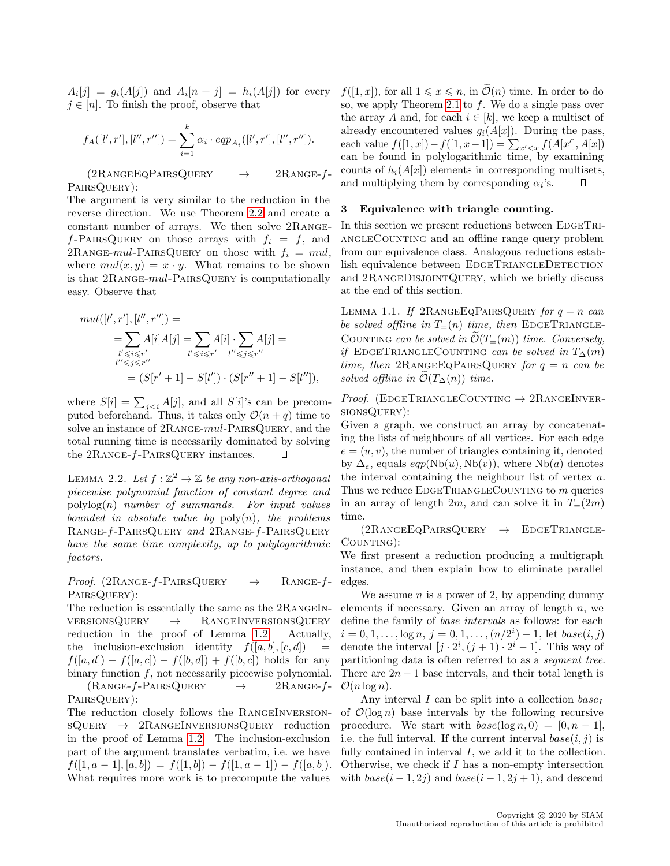$A_i[j] = g_i(A[j])$  and  $A_i[n+j] = h_i(A[j])$  for every  $j \in [n]$ . To finish the proof, observe that

$$
f_A([l',r'],[l'',r'']) = \sum_{i=1}^k \alpha_i \cdot ep_{A_i}([l',r'],[l'',r'']).
$$

 $(2R$ ANGEEQPAIRSQUERY  $\rightarrow$  2RANGE-f-PairsQuery):

The argument is very similar to the reduction in the reverse direction. We use Theorem [2.2](#page-6-1) and create a constant number of arrays. We then solve 2Range $f$ -PAIRSQUERY on those arrays with  $f_i = f$ , and 2RANGE-mul-PAIRSQUERY on those with  $f_i = mul$ , where  $mul(x, y) = x \cdot y$ . What remains to be shown is that 2Range-mul-PairsQuery is computationally easy. Observe that

$$
mul([l', r'], [l'', r'']) =
$$
  
=  $\sum_{\substack{l' \le i \le r' \\ l'' \le j \le r''}} A[i] A[j] = \sum_{\substack{l' \le i \le r' \\ l'' \le j \le r''}} A[i] \cdot \sum_{\substack{l'' \le j \le r'' \\ l'' \le j \le r''}} A[j] =$   
=  $(S[r' + 1] - S[l']) \cdot (S[r'' + 1] - S[l'')),$ 

where  $S[i] = \sum_{j \leq i} A[j]$ , and all  $S[i]$ 's can be precomputed beforehand. Thus, it takes only  $\mathcal{O}(n+q)$  time to solve an instance of 2RANGE-mul-PAIRSQUERY, and the total running time is necessarily dominated by solving the 2RANGE-f-PAIRSQUERY instances. П

LEMMA 2.2. Let  $f : \mathbb{Z}^2 \to \mathbb{Z}$  be any non-axis-orthogonal piecewise polynomial function of constant degree and  $polylog(n)$  number of summands. For input values bounded in absolute value by  $\text{poly}(n)$ , the problems Range-f-PairsQuery and 2Range-f-PairsQuery have the same time complexity, up to polylogarithmic factors.

Proof. (2RANGE-f-PAIRSQUERY  $\rightarrow$  RANGE-f-PairsQuery):

The reduction is essentially the same as the 2RangeInversionsQuery → RangeInversionsQuery reduction in the proof of Lemma [1.2.](#page-2-2) Actually, the inclusion-exclusion identity  $f([a, b], [c, d]) =$  $f([a, d]) - f([a, c]) - f([b, d]) + f([b, c])$  holds for any binary function  $f$ , not necessarily piecewise polynomial.  $(RANGE-f-PAIRSQuery \rightarrow 2RANGE-f-$ PairsQuery):

The reduction closely follows the RangeInversion $sQUERY \rightarrow 2RANGEINVERSIONSQUERY reduction$ in the proof of Lemma [1.2.](#page-2-2) The inclusion-exclusion part of the argument translates verbatim, i.e. we have  $f([1, a-1], [a, b]) = f([1, b]) - f([1, a-1]) - f([a, b]).$ What requires more work is to precompute the values

 $f([1, x])$ , for all  $1 \leq x \leq n$ , in  $\mathcal{O}(n)$  time. In order to do so, we apply Theorem [2.1](#page-6-0) to  $f$ . We do a single pass over the array A and, for each  $i \in [k]$ , we keep a multiset of already encountered values  $g_i(A[x])$ . During the pass, each value  $f([1, x]) - f([1, x-1]) = \sum_{x' < x} f(A[x'], A[x])$ can be found in polylogarithmic time, by examining counts of  $h_i(A[x])$  elements in corresponding multisets, and multiplying them by corresponding  $\alpha_i$ 's.  $\Box$ 

### <span id="page-7-0"></span>3 Equivalence with triangle counting.

In this section we present reductions between EDGETRI-ANGLECOUNTING and an offline range query problem from our equivalence class. Analogous reductions establish equivalence between EDGETRIANGLEDETECTION and 2RangeDisjointQuery, which we briefly discuss at the end of this section.

LEMMA 1.1. If  $2$ RANGEEQPAIRSQUERY for  $q = n$  can be solved offline in  $T=(n)$  time, then EDGETRIANGLE-COUNTING can be solved in  $\mathcal{O}(T_{=}(m))$  time. Conversely, if EDGETRIANGLECOUNTING can be solved in  $T_{\Delta}(m)$ time, then 2RANGEEQPAIRSQUERY for  $q = n$  can be solved offline in  $\mathcal{O}(T_\Delta(n))$  time.

Proof. (EDGETRIANGLECOUNTING  $\rightarrow$  2RANGEINVERsionsQuery):

Given a graph, we construct an array by concatenating the lists of neighbours of all vertices. For each edge  $e = (u, v)$ , the number of triangles containing it, denoted by  $\Delta_e$ , equals  $eqp(Nb(u), Nb(v))$ , where Nb(a) denotes the interval containing the neighbour list of vertex a. Thus we reduce  $E$ DGETRIANGLECOUNTING to m queries in an array of length 2m, and can solve it in  $T=(2m)$ time.

 $(2R$ ANGEEQPAIRSQUERY  $\rightarrow$  EDGETRIANGLE-COUNTING):

We first present a reduction producing a multigraph instance, and then explain how to eliminate parallel edges.

We assume  $n$  is a power of 2, by appending dummy elements if necessary. Given an array of length  $n$ , we define the family of base intervals as follows: for each  $i = 0, 1, \ldots, \log n, j = 0, 1, \ldots, (n/2^{i}) - 1$ , let  $base(i, j)$ denote the interval  $[j \cdot 2^i, (j+1) \cdot 2^i - 1]$ . This way of partitioning data is often referred to as a segment tree. There are  $2n - 1$  base intervals, and their total length is  $\mathcal{O}(n \log n)$ .

Any interval  $I$  can be split into a collection  $base_I$ of  $\mathcal{O}(\log n)$  base intervals by the following recursive procedure. We start with  $base(log n, 0) = [0, n - 1]$ , i.e. the full interval. If the current interval  $base(i, j)$  is fully contained in interval  $I$ , we add it to the collection. Otherwise, we check if I has a non-empty intersection with  $base(i - 1, 2j)$  and  $base(i - 1, 2j + 1)$ , and descend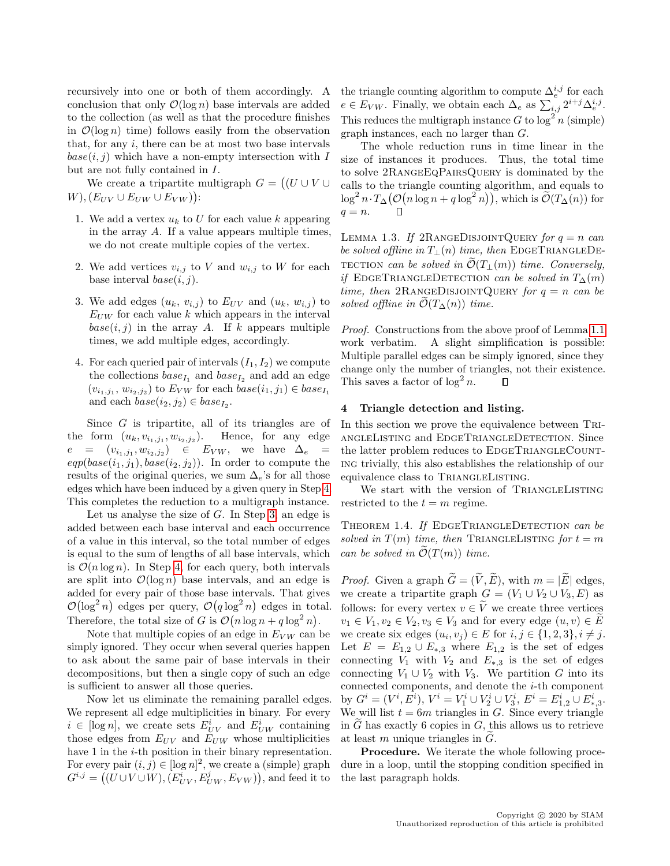recursively into one or both of them accordingly. A conclusion that only  $\mathcal{O}(\log n)$  base intervals are added to the collection (as well as that the procedure finishes in  $\mathcal{O}(\log n)$  time) follows easily from the observation that, for any  $i$ , there can be at most two base intervals  $base(i, j)$  which have a non-empty intersection with I but are not fully contained in I.

We create a tripartite multigraph  $G = ((U \cup V \cup$  $W$ ),  $(E_{UV} \cup E_{UW} \cup E_{VW})$ :

- 1. We add a vertex  $u_k$  to U for each value k appearing in the array A. If a value appears multiple times, we do not create multiple copies of the vertex.
- 2. We add vertices  $v_{i,j}$  to V and  $w_{i,j}$  to W for each base interval  $base(i, j)$ .
- <span id="page-8-2"></span>3. We add edges  $(u_k, v_{i,j})$  to  $E_{UV}$  and  $(u_k, w_{i,j})$  to  $E_{UW}$  for each value k which appears in the interval  $base(i, j)$  in the array A. If k appears multiple times, we add multiple edges, accordingly.
- <span id="page-8-1"></span>4. For each queried pair of intervals  $(I_1, I_2)$  we compute the collections  $base_{I_1}$  and  $base_{I_2}$  and add an edge  $(v_{i_1,j_1}, w_{i_2,j_2})$  to  $E_{VW}$  for each  $base(i_1, j_1) \in base_{I_1}$ and each  $base(i_2, j_2) \in base_{I_2}$ .

Since  $G$  is tripartite, all of its triangles are of the form  $(u_k, v_{i_1,j_1}, w_{i_2,j_2})$ . Hence, for any edge  $e = (v_{i_1,j_1}, w_{i_2,j_2}) \in E_{VW}$ , we have  $\Delta_e =$  $eqp(base(i_1, j_1), base(i_2, j_2))$ . In order to compute the results of the original queries, we sum  $\Delta_e$ 's for all those edges which have been induced by a given query in Step [4.](#page-8-1) This completes the reduction to a multigraph instance.

Let us analyse the size of  $G$ . In Step [3,](#page-8-2) an edge is added between each base interval and each occurrence of a value in this interval, so the total number of edges is equal to the sum of lengths of all base intervals, which is  $\mathcal{O}(n \log n)$ . In Step [4,](#page-8-1) for each query, both intervals are split into  $\mathcal{O}(\log n)$  base intervals, and an edge is added for every pair of those base intervals. That gives  $\mathcal{O}(\log^2 n)$  edges per query,  $\mathcal{O}(q \log^2 n)$  edges in total. Therefore, the total size of G is  $\mathcal{O}(n \log n + q \log^2 n)$ .

Note that multiple copies of an edge in  $E_{VW}$  can be simply ignored. They occur when several queries happen to ask about the same pair of base intervals in their decompositions, but then a single copy of such an edge is sufficient to answer all those queries.

Now let us eliminate the remaining parallel edges. We represent all edge multiplicities in binary. For every  $i \in [\log n]$ , we create sets  $E_{UV}^i$  and  $E_{UW}^i$  containing those edges from  $E_{UV}$  and  $E_{UW}$  whose multiplicities have 1 in the *i*-th position in their binary representation. For every pair  $(i, j) \in [\log n]^2$ , we create a (simple) graph  $G^{i,j} = ((\overline{U} \cup V \cup W), (\overline{E}_{UV}^{i}, \overline{E}_{UW}^{j}, E_{VW})),$  and feed it to

the triangle counting algorithm to compute  $\Delta_e^{i,j}$  for each  $e \in E_{VW}$ . Finally, we obtain each  $\Delta_e$  as  $\sum_{i,j} 2^{i+j} \Delta_e^{i,j}$ . This reduces the multigraph instance G to  $\log^2 n$  (simple) graph instances, each no larger than G.

The whole reduction runs in time linear in the size of instances it produces. Thus, the total time to solve 2RangeEqPairsQuery is dominated by the calls to the triangle counting algorithm, and equals to  $\log^2 n \cdot T_{\Delta}(\mathcal{O}(n \log n + q \log^2 n)),$  which is  $\widetilde{\mathcal{O}}(T_{\Delta}(n))$  for  $q = n$ .  $\Box$ 

LEMMA 1.3. If 2RANGEDISJOINTQUERY for  $q = n$  can be solved offline in  $T_{\perp}(n)$  time, then EDGETRIANGLEDE-TECTION can be solved in  $\widetilde{\mathcal{O}}(T_+(m))$  time. Conversely, if EDGETRIANGLEDETECTION can be solved in  $T_{\Delta}(m)$ time, then 2RANGEDISJOINTQUERY for  $q = n$  can be solved offline in  $\tilde{\mathcal{O}}(T_{\Delta}(n))$  time.

Proof. Constructions from the above proof of Lemma [1.1](#page-2-3) work verbatim. A slight simplification is possible: Multiple parallel edges can be simply ignored, since they change only the number of triangles, not their existence. This saves a factor of  $\log^2 n$ .  $\Box$ 

#### <span id="page-8-0"></span>4 Triangle detection and listing.

In this section we prove the equivalence between TRIangleListing and EdgeTriangleDetection. Since the latter problem reduces to EDGETRIANGLECOUNTing trivially, this also establishes the relationship of our equivalence class to TRIANGLELISTING.

We start with the version of TRIANGLELISTING restricted to the  $t = m$  regime.

THEOREM 1.4. If EDGETRIANGLEDETECTION can be solved in  $T(m)$  time, then TRIANGLELISTING for  $t = m$ can be solved in  $\mathcal{O}(T(m))$  time.

*Proof.* Given a graph  $\widetilde{G} = (\widetilde{V}, \widetilde{E})$ , with  $m = |\widetilde{E}|$  edges, we create a tripartite graph  $G = (V_1 \cup V_2 \cup V_3, E)$  as follows: for every vertex  $v \in \tilde{V}$  we create three vertices  $v_1 \in V_1, v_2 \in V_2, v_3 \in V_3$  and for every edge  $(u, v) \in E$ we create six edges  $(u_i, v_j) \in E$  for  $i, j \in \{1, 2, 3\}, i \neq j$ . Let  $E = E_{1,2} \cup E_{*,3}$  where  $E_{1,2}$  is the set of edges connecting  $V_1$  with  $V_2$  and  $E_{*,3}$  is the set of edges connecting  $V_1 \cup V_2$  with  $V_3$ . We partition G into its connected components, and denote the  $i$ -th component by  $G^i = (V^i, E^i)$ ,  $V^i = V_1^i \cup V_2^i \cup V_3^i$ ,  $E^i = E^i_{1,2} \cup E^i_{*,3}$ . We will list  $t = 6m$  triangles in G. Since every triangle in  $G$  has exactly 6 copies in  $G$ , this allows us to retrieve at least  $m$  unique triangles in  $G$ .

Procedure. We iterate the whole following procedure in a loop, until the stopping condition specified in the last paragraph holds.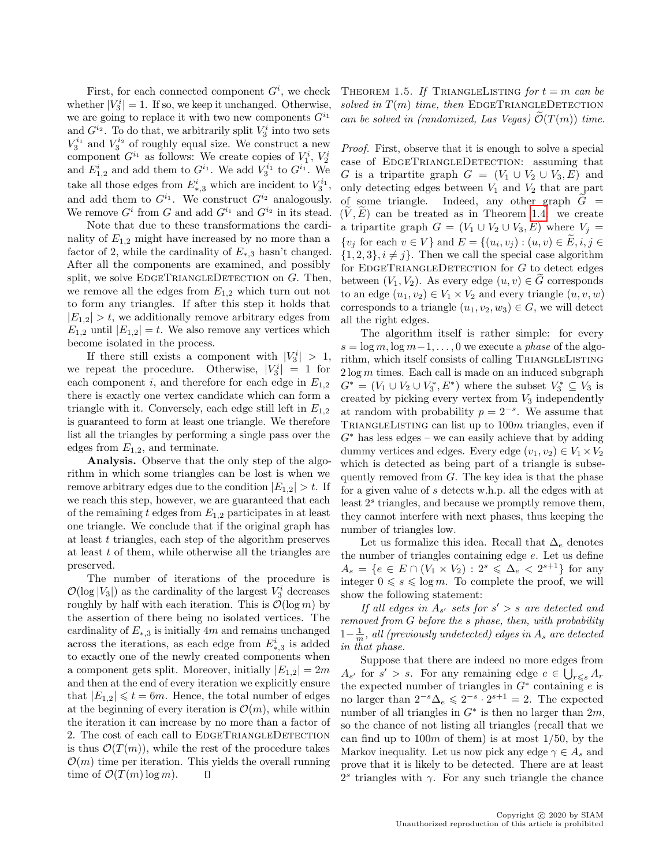First, for each connected component  $G^i$ , we check whether  $|V_3^i| = 1$ . If so, we keep it unchanged. Otherwise, we are going to replace it with two new components  $G^{i_1}$ and  $G^{i_2}$ . To do that, we arbitrarily split  $V_3^i$  into two sets  $V_3^{i_1}$  and  $V_3^{i_2}$  of roughly equal size. We construct a new component  $G^{i_1}$  as follows: We create copies of  $V_1^i$ ,  $V_2^i$ and  $E_{1,2}^i$  and add them to  $G^{i_1}$ . We add  $V_3^{i_1}$  to  $G^{i_1}$ . We take all those edges from  $E^i_{*,3}$  which are incident to  $V_3^{i_1}$ , and add them to  $G^{i_1}$ . We construct  $G^{i_2}$  analogously. We remove  $G^i$  from G and add  $G^{i_1}$  and  $G^{i_2}$  in its stead.

Note that due to these transformations the cardinality of  $E_{1,2}$  might have increased by no more than a factor of 2, while the cardinality of  $E_{*,3}$  hasn't changed. After all the components are examined, and possibly split, we solve  $E$ DGETRIANGLEDETECTION on  $G$ . Then, we remove all the edges from  $E_{1,2}$  which turn out not to form any triangles. If after this step it holds that  $|E_{1,2}| > t$ , we additionally remove arbitrary edges from  $E_{1,2}$  until  $|E_{1,2}| = t$ . We also remove any vertices which become isolated in the process.

If there still exists a component with  $|V_3^i| > 1$ , we repeat the procedure. Otherwise,  $|V_3^i| = 1$  for each component i, and therefore for each edge in  $E_{1,2}$ there is exactly one vertex candidate which can form a triangle with it. Conversely, each edge still left in  $E_{1,2}$ is guaranteed to form at least one triangle. We therefore list all the triangles by performing a single pass over the edges from  $E_{1,2}$ , and terminate.

Analysis. Observe that the only step of the algorithm in which some triangles can be lost is when we remove arbitrary edges due to the condition  $|E_{1,2}| > t$ . If we reach this step, however, we are guaranteed that each of the remaining t edges from  $E_{1,2}$  participates in at least one triangle. We conclude that if the original graph has at least  $t$  triangles, each step of the algorithm preserves at least  $t$  of them, while otherwise all the triangles are preserved.

The number of iterations of the procedure is  $\mathcal{O}(\log |V_3|)$  as the cardinality of the largest  $V_3^i$  decreases roughly by half with each iteration. This is  $\mathcal{O}(\log m)$  by the assertion of there being no isolated vertices. The cardinality of  $E_{*,3}$  is initially 4m and remains unchanged across the iterations, as each edge from  $E^i_{*,3}$  is added to exactly one of the newly created components when a component gets split. Moreover, initially  $|E_{1,2}| = 2m$ and then at the end of every iteration we explicitly ensure that  $|E_{1,2}| \le t = 6m$ . Hence, the total number of edges at the beginning of every iteration is  $\mathcal{O}(m)$ , while within the iteration it can increase by no more than a factor of 2. The cost of each call to EDGETRIANGLEDETECTION is thus  $\mathcal{O}(T(m))$ , while the rest of the procedure takes  $\mathcal{O}(m)$  time per iteration. This yields the overall running time of  $\mathcal{O}(T(m) \log m)$ .  $\Box$ 

THEOREM 1.5. If TRIANGLELISTING for  $t = m$  can be solved in  $T(m)$  time, then EDGETRIANGLEDETECTION can be solved in (randomized, Las Vegas)  $\mathcal{O}(T(m))$  time.

Proof. First, observe that it is enough to solve a special case of EDGETRIANGLEDETECTION: assuming that G is a tripartite graph  $G = (V_1 \cup V_2 \cup V_3, E)$  and only detecting edges between  $V_1$  and  $V_2$  that are part of some triangle. Indeed, any other graph  $G =$  $(V, E)$  can be treated as in Theorem [1.4:](#page-3-3) we create a tripartite graph  $G = (V_1 \cup V_2 \cup V_3, E)$  where  $V_j =$  $\{v_j \text{ for each } v \in V\}$  and  $E = \{(u_i, v_j) : (u, v) \in E, i, j \in \mathbb{Z}\}$  $\{1, 2, 3\}, i \neq j\}.$  Then we call the special case algorithm for EDGETRIANGLEDETECTION for  $G$  to detect edges between  $(V_1, V_2)$ . As every edge  $(u, v) \in G$  corresponds to an edge  $(u_1, v_2) \in V_1 \times V_2$  and every triangle  $(u, v, w)$ corresponds to a triangle  $(u_1, v_2, w_3) \in G$ , we will detect all the right edges.

The algorithm itself is rather simple: for every  $s = \log m, \log m - 1, \ldots, 0$  we execute a phase of the algorithm, which itself consists of calling TRIANGLELISTING  $2 \log m$  times. Each call is made on an induced subgraph  $G^* = (V_1 \cup V_2 \cup V_3^*, E^*)$  where the subset  $V_3^* \subseteq V_3$  is created by picking every vertex from  $V_3$  independently at random with probability  $p = 2^{-s}$ . We assume that TRIANGLELISTING can list up to  $100m$  triangles, even if  $G^*$  has less edges – we can easily achieve that by adding dummy vertices and edges. Every edge  $(v_1, v_2) \in V_1 \times V_2$ which is detected as being part of a triangle is subsequently removed from  $G$ . The key idea is that the phase for a given value of s detects w.h.p. all the edges with at least  $2<sup>s</sup>$  triangles, and because we promptly remove them, they cannot interfere with next phases, thus keeping the number of triangles low.

Let us formalize this idea. Recall that  $\Delta_e$  denotes the number of triangles containing edge e. Let us define  $A_s = \{e \in E \cap (V_1 \times V_2) : 2^s \leq \Delta_e < 2^{s+1}\}\)$  for any integer  $0 \le s \le \log m$ . To complete the proof, we will show the following statement:

If all edges in  $A_{s'}$  sets for  $s' > s$  are detected and removed from G before the s phase, then, with probability  $1-\frac{1}{m}$ , all (previously undetected) edges in  $A_s$  are detected in that phase.

Suppose that there are indeed no more edges from  $A_{s'}$  for  $s' > s$ . For any remaining edge  $e \in \bigcup_{r \leq s} A_r$ the expected number of triangles in  $G^*$  containing e is no larger than  $2^{-s}\Delta_e \leqslant 2^{-s} \cdot 2^{s+1} = 2$ . The expected number of all triangles in  $G^*$  is then no larger than  $2m$ , so the chance of not listing all triangles (recall that we can find up to  $100m$  of them) is at most  $1/50$ , by the Markov inequality. Let us now pick any edge  $\gamma \in A_s$  and prove that it is likely to be detected. There are at least  $2<sup>s</sup>$  triangles with  $\gamma$ . For any such triangle the chance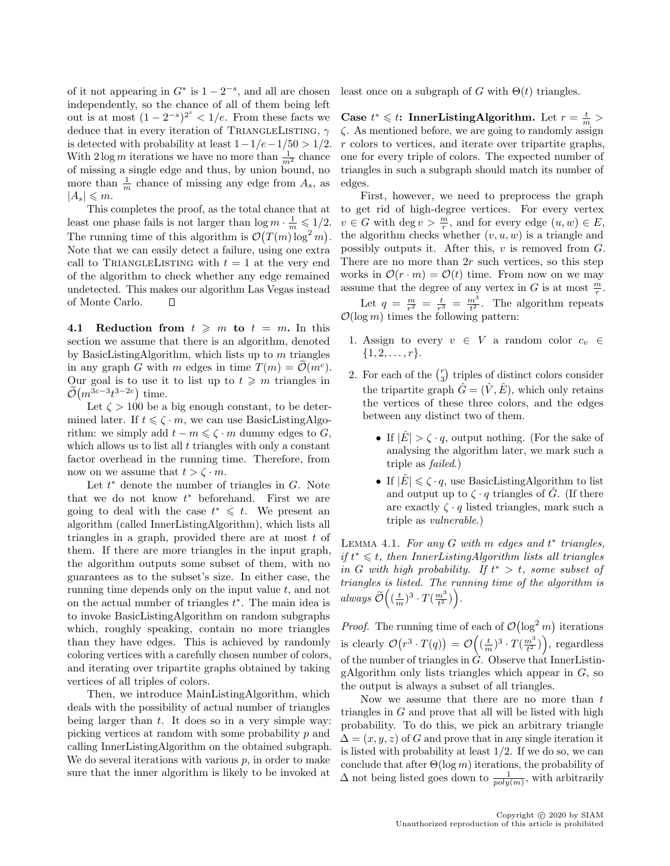of it not appearing in  $G^*$  is  $1-2^{-s}$ , and all are chosen independently, so the chance of all of them being left out is at most  $(1-2^{-s})^{2^s} < 1/e$ . From these facts we deduce that in every iteration of TRIANGLELISTING,  $\gamma$ is detected with probability at least  $1-1/e-1/50 > 1/2$ . With  $2 \log m$  iterations we have no more than  $\frac{1}{m^2}$  chance of missing a single edge and thus, by union bound, no more than  $\frac{1}{m}$  chance of missing any edge from  $A_s$ , as  $|A_s| \leqslant m$ .

This completes the proof, as the total chance that at least one phase fails is not larger than  $\log m \cdot \frac{1}{m} \leqslant 1/2$ . The running time of this algorithm is  $\mathcal{O}(T(m)\log^2 m)$ . Note that we can easily detect a failure, using one extra call to TRIANGLELISTING with  $t = 1$  at the very end of the algorithm to check whether any edge remained undetected. This makes our algorithm Las Vegas instead of Monte Carlo. П

4.1 Reduction from  $t \geq m$  to  $t = m$ . In this section we assume that there is an algorithm, denoted by BasicListingAlgorithm, which lists up to  $m$  triangles in any graph G with m edges in time  $T(m) = \tilde{\mathcal{O}}(m^c)$ . Our goal is to use it to list up to  $t \geq m$  triangles in  $\tilde{\mathcal{O}}(m^{3c-3}t^{3-2c})$  time.

Let  $\zeta > 100$  be a big enough constant, to be determined later. If  $t \leq \zeta \cdot m$ , we can use BasicListingAlgorithm: we simply add  $t - m \leq \zeta \cdot m$  dummy edges to G, which allows us to list all  $t$  triangles with only a constant factor overhead in the running time. Therefore, from now on we assume that  $t > \zeta \cdot m$ .

Let  $t^*$  denote the number of triangles in  $G$ . Note that we do not know  $t^*$  beforehand. First we are going to deal with the case  $t^* \leq t$ . We present an algorithm (called InnerListingAlgorithm), which lists all triangles in a graph, provided there are at most  $t$  of them. If there are more triangles in the input graph, the algorithm outputs some subset of them, with no guarantees as to the subset's size. In either case, the running time depends only on the input value  $t$ , and not on the actual number of triangles  $t^*$ . The main idea is to invoke BasicListingAlgorithm on random subgraphs which, roughly speaking, contain no more triangles than they have edges. This is achieved by randomly coloring vertices with a carefully chosen number of colors, and iterating over tripartite graphs obtained by taking vertices of all triples of colors.

Then, we introduce MainListingAlgorithm, which deals with the possibility of actual number of triangles being larger than  $t$ . It does so in a very simple way: picking vertices at random with some probability  $p$  and calling InnerListingAlgorithm on the obtained subgraph. We do several iterations with various  $p$ , in order to make sure that the inner algorithm is likely to be invoked at least once on a subgraph of G with  $\Theta(t)$  triangles.

Case  $t^* \leq t$ : InnerListingAlgorithm. Let  $r = \frac{t}{m}$  $\zeta$ . As mentioned before, we are going to randomly assign r colors to vertices, and iterate over tripartite graphs, one for every triple of colors. The expected number of triangles in such a subgraph should match its number of edges.

First, however, we need to preprocess the graph to get rid of high-degree vertices. For every vertex  $v \in G$  with  $\deg v > \frac{m}{r}$ , and for every edge  $(u, w) \in E$ , the algorithm checks whether  $(v, u, w)$  is a triangle and possibly outputs it. After this,  $v$  is removed from  $G$ . There are no more than  $2r$  such vertices, so this step works in  $\mathcal{O}(r \cdot m) = \mathcal{O}(t)$  time. From now on we may assume that the degree of any vertex in G is at most  $\frac{m}{r}$ .

Let  $q = \frac{m}{r^2} = \frac{t}{r^3} = \frac{m^3}{t^2}$ . The algorithm repeats  $\mathcal{O}(\log m)$  times the following pattern:

- 1. Assign to every  $v \in V$  a random color  $c_v \in V$  $\{1, 2, \ldots, r\}.$
- 2. For each of the  $\binom{r}{3}$  triples of distinct colors consider the tripartite graph  $\hat{G} = (\hat{V}, \hat{E})$ , which only retains the vertices of these three colors, and the edges between any distinct two of them.
	- If  $|E| > \zeta \cdot q$ , output nothing. (For the sake of analysing the algorithm later, we mark such a triple as failed.)
	- If  $|\hat{E}| \leq \zeta \cdot q$ , use BasicListingAlgorithm to list and output up to  $\zeta \cdot q$  triangles of  $\tilde{G}$ . (If there are exactly  $\zeta \cdot q$  listed triangles, mark such a triple as vulnerable.)

<span id="page-10-0"></span>LEMMA 4.1. For any  $G$  with  $m$  edges and  $t^*$  triangles,  $if t^* \leq t$ , then InnerListingAlgorithm lists all triangles in G with high probability. If  $t^* > t$ , some subset of triangles is listed. The running time of the algorithm is always  $\widetilde{\mathcal{O}}\left((\frac{t}{m})^3 \cdot T(\frac{m^3}{t^2})\right)$ .

*Proof.* The running time of each of  $\mathcal{O}(\log^2 m)$  iterations is clearly  $\mathcal{O}(r^3 \cdot T(q)) = \mathcal{O}\left((\frac{t}{m})^3 \cdot T(\frac{m^3}{t^2})\right)$ , regardless of the number of triangles in  $\hat{G}$ . Observe that InnerListingAlgorithm only lists triangles which appear in  $G$ , so the output is always a subset of all triangles.

Now we assume that there are no more than  $t$ triangles in  $G$  and prove that all will be listed with high probability. To do this, we pick an arbitrary triangle  $\Delta = (x, y, z)$  of G and prove that in any single iteration it is listed with probability at least  $1/2$ . If we do so, we can conclude that after  $\Theta(\log m)$  iterations, the probability of  $\Delta$  not being listed goes down to  $\frac{1}{poly(m)}$ , with arbitrarily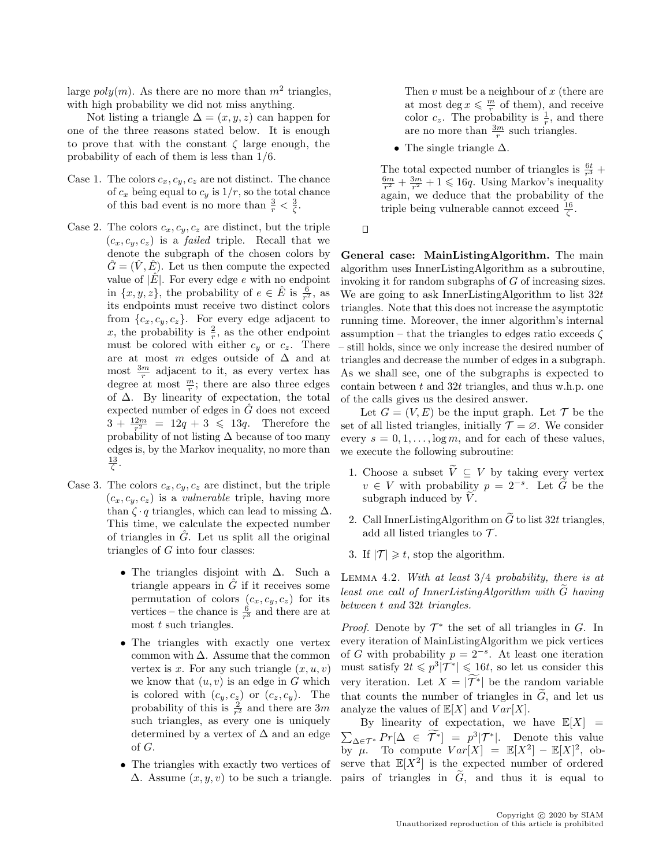large  $poly(m)$ . As there are no more than  $m<sup>2</sup>$  triangles, with high probability we did not miss anything.

Not listing a triangle  $\Delta = (x, y, z)$  can happen for one of the three reasons stated below. It is enough to prove that with the constant  $\zeta$  large enough, the probability of each of them is less than 1/6.

- Case 1. The colors  $c_x, c_y, c_z$  are not distinct. The chance of  $c_x$  being equal to  $c_y$  is  $1/r$ , so the total chance of this bad event is no more than  $\frac{3}{r} < \frac{3}{\zeta}$ .
- Case 2. The colors  $c_x, c_y, c_z$  are distinct, but the triple  $(c_x, c_y, c_z)$  is a *failed* triple. Recall that we denote the subgraph of the chosen colors by  $\hat{G} = (\hat{V}, \hat{E})$ . Let us then compute the expected value of  $|\hat{E}|$ . For every edge e with no endpoint in  $\{x, y, z\}$ , the probability of  $e \in \hat{E}$  is  $\frac{\hat{6}}{r^2}$ , as its endpoints must receive two distinct colors from  $\{c_x, c_y, c_z\}$ . For every edge adjacent to x, the probability is  $\frac{2}{r}$ , as the other endpoint must be colored with either  $c_y$  or  $c_z$ . There are at most  $m$  edges outside of  $\Delta$  and at most  $\frac{3m}{r}$  adjacent to it, as every vertex has degree at most  $\frac{m}{r}$ ; there are also three edges of ∆. By linearity of expectation, the total expected number of edges in  $\tilde{G}$  does not exceed  $3 + \frac{12m}{r^2} = 12q + 3 \leq 13q$ . Therefore the probability of not listing  $\Delta$  because of too many edges is, by the Markov inequality, no more than  $rac{13}{\zeta}$ .
- Case 3. The colors  $c_x, c_y, c_z$  are distinct, but the triple  $(c_x, c_y, c_z)$  is a *vulnerable* triple, having more than  $\zeta \cdot q$  triangles, which can lead to missing  $\Delta$ . This time, we calculate the expected number of triangles in  $\hat{G}$ . Let us split all the original triangles of  $G$  into four classes:
	- The triangles disjoint with  $\Delta$ . Such a triangle appears in  $G$  if it receives some permutation of colors  $(c_x, c_y, c_z)$  for its vertices – the chance is  $\frac{6}{r^3}$  and there are at most  $t$  such triangles.
	- The triangles with exactly one vertex common with  $\Delta$ . Assume that the common vertex is x. For any such triangle  $(x, u, v)$ we know that  $(u, v)$  is an edge in G which is colored with  $(c_y, c_z)$  or  $(c_z, c_y)$ . The probability of this is  $\frac{2}{r^2}$  and there are 3m such triangles, as every one is uniquely determined by a vertex of  $\Delta$  and an edge of G.
	- The triangles with exactly two vertices of  $\Delta$ . Assume  $(x, y, v)$  to be such a triangle.

Then  $v$  must be a neighbour of  $x$  (there are at most deg  $x \leq \frac{m}{r}$  of them), and receive color  $c_z$ . The probability is  $\frac{1}{r}$ , and there are no more than  $\frac{3m}{r}$  such triangles.

• The single triangle  $\Delta$ .

The total expected number of triangles is  $\frac{6t}{r^3}$  +  $\frac{6m}{r^2} + \frac{3m}{r^2} + 1 \leq 16q$ . Using Markov's inequality again, we deduce that the probability of the triple being vulnerable cannot exceed  $\frac{16}{\zeta}$ .

 $\Box$ 

General case: MainListingAlgorithm. The main algorithm uses InnerListingAlgorithm as a subroutine, invoking it for random subgraphs of G of increasing sizes. We are going to ask InnerListingAlgorithm to list  $32t$ triangles. Note that this does not increase the asymptotic running time. Moreover, the inner algorithm's internal assumption – that the triangles to edges ratio exceeds  $\zeta$ – still holds, since we only increase the desired number of triangles and decrease the number of edges in a subgraph. As we shall see, one of the subgraphs is expected to contain between  $t$  and  $32t$  triangles, and thus w.h.p. one of the calls gives us the desired answer.

Let  $G = (V, E)$  be the input graph. Let  $\mathcal T$  be the set of all listed triangles, initially  $\mathcal{T} = \emptyset$ . We consider every  $s = 0, 1, \ldots, \log m$ , and for each of these values, we execute the following subroutine:

- 1. Choose a subset  $\widetilde{V}\,\subseteq\,V$  by taking every vertex  $v \in V$  with probability  $p = 2^{-s}$ . Let  $\tilde{G}$  be the subgraph induced by  $V$ .
- 2. Call InnerListingAlgorithm on  $\tilde{G}$  to list 32t triangles, add all listed triangles to  $\mathcal{T}$ .
- 3. If  $|\mathcal{T}| \geq t$ , stop the algorithm.

<span id="page-11-0"></span>LEMMA 4.2. With at least  $3/4$  probability, there is at least one call of InnerListingAlgorithm with  $\tilde{G}$  having between t and 32t triangles.

*Proof.* Denote by  $\mathcal{T}^*$  the set of all triangles in G. In every iteration of MainListingAlgorithm we pick vertices of G with probability  $p = 2^{-s}$ . At least one iteration must satisfy  $2t \leqslant p^3|\mathcal{T}^*| \leqslant 16t$ , so let us consider this very iteration. Let  $X = |\widetilde{\mathcal{T}}^*|$  be the random variable that counts the number of triangles in  $G$ , and let us analyze the values of  $\mathbb{E}[X]$  and  $Var[X]$ .

By linearity of expectation, we have  $\mathbb{E}[X] =$  $\sum_{\Delta \in \mathcal{T}^*} Pr[\Delta \in \widetilde{\mathcal{T}}^*] = p^3 |\mathcal{T}^*|$ . Denote this value by  $\mu$ . To compute  $Var[X] = \mathbb{E}[X^2] - \mathbb{E}[X]^2$ , observe that  $\mathbb{E}[X^2]$  is the expected number of ordered pairs of triangles in  $\tilde{G}$ , and thus it is equal to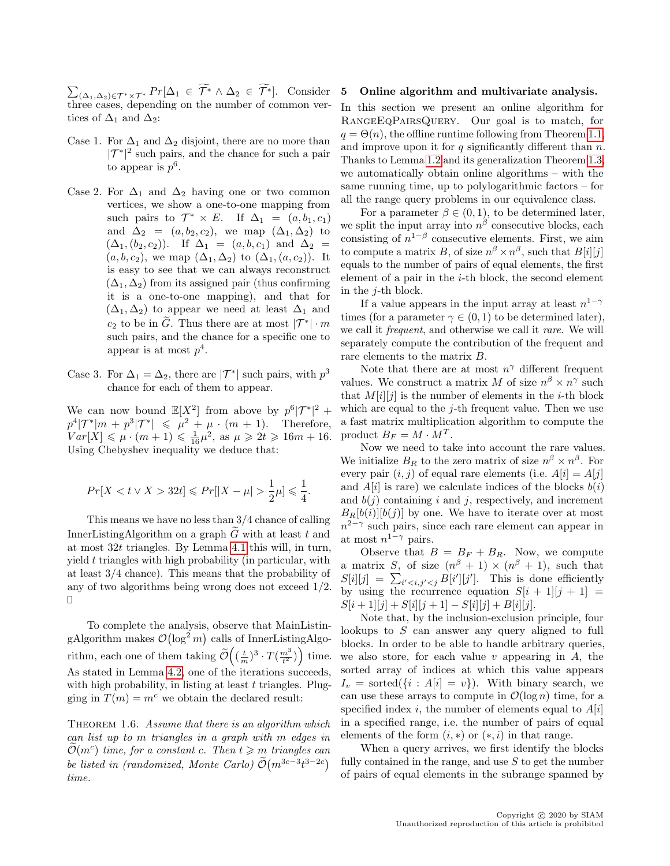$\sum_{(\Delta_1,\Delta_2)\in \mathcal{T}^*\times\mathcal{T}^*} Pr[\Delta_1 \in \mathcal{T}^*\wedge \Delta_2 \in \mathcal{T}^*].$  Consider three cases, depending on the number of common vertices of  $\Delta_1$  and  $\Delta_2$ :

- Case 1. For  $\Delta_1$  and  $\Delta_2$  disjoint, there are no more than  $|\mathcal{T}^*|^2$  such pairs, and the chance for such a pair to appear is  $p^6$ .
- Case 2. For  $\Delta_1$  and  $\Delta_2$  having one or two common vertices, we show a one-to-one mapping from such pairs to  $\mathcal{T}^* \times E$ . If  $\Delta_1 = (a, b_1, c_1)$ and  $\Delta_2 = (a, b_2, c_2)$ , we map  $(\Delta_1, \Delta_2)$  to  $(\Delta_1,(b_2,c_2))$ . If  $\Delta_1 = (a,b,c_1)$  and  $\Delta_2 =$  $(a, b, c_2)$ , we map  $(\Delta_1, \Delta_2)$  to  $(\Delta_1, (a, c_2))$ . It is easy to see that we can always reconstruct  $(\Delta_1, \Delta_2)$  from its assigned pair (thus confirming it is a one-to-one mapping), and that for  $(\Delta_1, \Delta_2)$  to appear we need at least  $\Delta_1$  and  $c_2$  to be in  $\widetilde{G}$ . Thus there are at most  $|\mathcal{T}^*| \cdot m$ such pairs, and the chance for a specific one to appear is at most  $p^4$ .
- Case 3. For  $\Delta_1 = \Delta_2$ , there are  $|\mathcal{T}^*|$  such pairs, with  $p^3$ chance for each of them to appear.

We can now bound  $\mathbb{E}[X^2]$  from above by  $p^6|\mathcal{T}^*|^2$  +  $p^4|\mathcal{T}^*|m + p^3|\mathcal{T}^*| \leq \mu^2 + \mu \cdot (m + 1).$  Therefore,  $Var[X] \le \mu \cdot (m+1) \le \frac{1}{16}\mu^2$ , as  $\mu \ge 2t \ge 16m + 16$ . Using Chebyshev inequality we deduce that:

$$
Pr[X < t \vee X > 32t] \leqslant Pr[|X - \mu| > \frac{1}{2}\mu] \leqslant \frac{1}{4}.
$$

This means we have no less than 3/4 chance of calling InnerListingAlgorithm on a graph  $\tilde{G}$  with at least t and at most 32t triangles. By Lemma [4.1](#page-10-0) this will, in turn, yield t triangles with high probability (in particular, with at least 3/4 chance). This means that the probability of any of two algorithms being wrong does not exceed 1/2. Ο

To complete the analysis, observe that MainListingAlgorithm makes  $\mathcal{O}(\log^2 m)$  calls of InnerListingAlgorithm, each one of them taking  $\widetilde{\mathcal{O}}\left((\frac{t}{m})^3 \cdot T(\frac{m^3}{t^2})\right)$  time. As stated in Lemma [4.2,](#page-11-0) one of the iterations succeeds, with high probability, in listing at least  $t$  triangles. Plugging in  $T(m) = m^c$  we obtain the declared result:

THEOREM 1.6. Assume that there is an algorithm which can list up to m triangles in a graph with m edges in  $\widetilde{\mathcal{O}}(m^c)$  time, for a constant c. Then  $t \geqslant m$  triangles can be listed in (randomized, Monte Carlo)  $\tilde{\mathcal{O}}(m^{3c-3}t^{3-2c})$ time.

#### <span id="page-12-0"></span>5 Online algorithm and multivariate analysis.

In this section we present an online algorithm for RangeEqPairsQuery. Our goal is to match, for  $q = \Theta(n)$ , the offline runtime following from Theorem [1.1,](#page-2-1) and improve upon it for  $q$  significantly different than  $n$ . Thanks to Lemma [1.2](#page-2-2) and its generalization Theorem [1.3,](#page-3-1) we automatically obtain online algorithms – with the same running time, up to polylogarithmic factors – for all the range query problems in our equivalence class.

For a parameter  $\beta \in (0,1)$ , to be determined later, we split the input array into  $n^{\beta}$  consecutive blocks, each consisting of  $n^{1-\beta}$  consecutive elements. First, we aim to compute a matrix B, of size  $n^{\beta} \times n^{\beta}$ , such that  $B[i][j]$ equals to the number of pairs of equal elements, the first element of a pair in the  $i$ -th block, the second element in the j-th block.

If a value appears in the input array at least  $n^{1-\gamma}$ times (for a parameter  $\gamma \in (0,1)$  to be determined later), we call it *frequent*, and otherwise we call it *rare*. We will separately compute the contribution of the frequent and rare elements to the matrix B.

Note that there are at most  $n^{\gamma}$  different frequent values. We construct a matrix M of size  $n^{\beta} \times n^{\gamma}$  such that  $M[i][j]$  is the number of elements in the *i*-th block which are equal to the  $j$ -th frequent value. Then we use a fast matrix multiplication algorithm to compute the product  $B_F = M \cdot M^T$ .

Now we need to take into account the rare values. We initialize  $B_R$  to the zero matrix of size  $n^{\beta} \times n^{\beta}$ . For every pair  $(i, j)$  of equal rare elements (i.e.  $A[i] = A[j]$ and  $A[i]$  is rare) we calculate indices of the blocks  $b(i)$ and  $b(j)$  containing i and j, respectively, and increment  $B_R[b(i)][b(j)]$  by one. We have to iterate over at most  $n^{2-\gamma}$  such pairs, since each rare element can appear in at most  $n^{1-\gamma}$  pairs.

Observe that  $B = B_F + B_R$ . Now, we compute a matrix S, of size  $(n^{\beta} + 1) \times (n^{\beta} + 1)$ , such that  $S[i][j] = \sum_{i' < i,j' < j} B[i'][j']$ . This is done efficiently by using the recurrence equation  $S[i + 1][j + 1] =$  $S[i+1][j] + S[i][j+1] - S[i][j] + B[i][j].$ 

Note that, by the inclusion-exclusion principle, four lookups to  $S$  can answer any query aligned to full blocks. In order to be able to handle arbitrary queries, we also store, for each value  $v$  appearing in  $A$ , the sorted array of indices at which this value appears  $I_v = \text{sorted}(\{i : A[i] = v\})$ . With binary search, we can use these arrays to compute in  $\mathcal{O}(\log n)$  time, for a specified index i, the number of elements equal to  $A[i]$ in a specified range, i.e. the number of pairs of equal elements of the form  $(i, *)$  or  $(*, i)$  in that range.

When a query arrives, we first identify the blocks fully contained in the range, and use  $S$  to get the number of pairs of equal elements in the subrange spanned by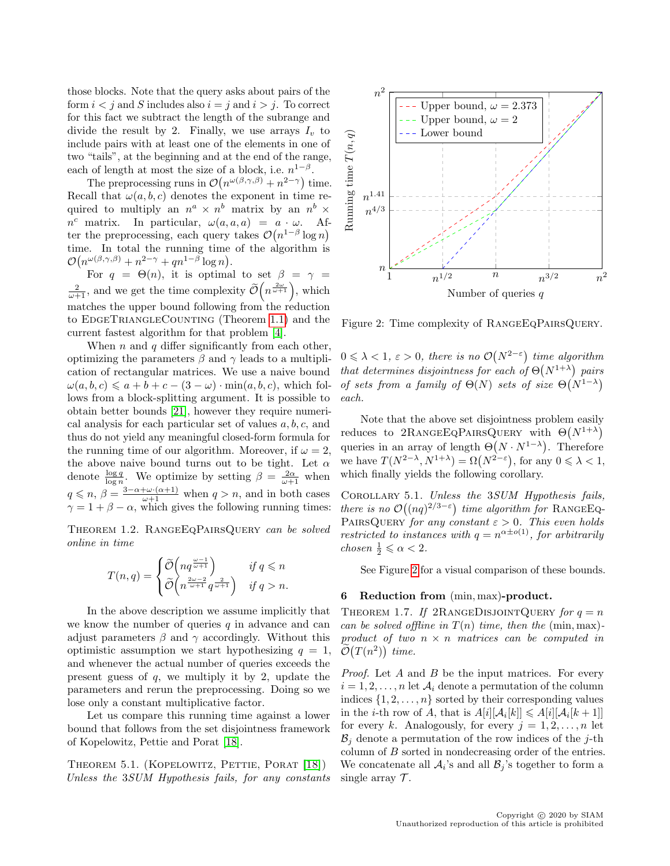those blocks. Note that the query asks about pairs of the form  $i < j$  and S includes also  $i = j$  and  $i > j$ . To correct for this fact we subtract the length of the subrange and divide the result by 2. Finally, we use arrays  $I_v$  to include pairs with at least one of the elements in one of two "tails", at the beginning and at the end of the range, each of length at most the size of a block, i.e.  $n^{1-\beta}$ .

The preprocessing runs in  $\mathcal{O}(n^{\omega(\beta,\gamma,\beta)}+n^{2-\gamma})$  time. Recall that  $\omega(a, b, c)$  denotes the exponent in time required to multiply an  $n^a \times n^b$  matrix by an  $n^b \times$  $n^c$  matrix. In particular,  $\omega(a, a, a) = a \cdot \omega$ . After the preprocessing, each query takes  $\mathcal{O}(n^{1-\beta}\log n)$ time. In total the running time of the algorithm is  $\mathcal{O}(n^{\omega(\beta,\gamma,\beta)}+n^{2-\gamma}+qn^{1-\beta}\log n).$ 

For  $q = \Theta(n)$ , it is optimal to set  $\beta = \gamma =$  $\frac{2}{\omega+1}$ , and we get the time complexity  $\widetilde{\mathcal{O}}\left(n^{\frac{2\omega}{\omega+1}}\right)$ , which matches the upper bound following from the reduction to EDGETRIANGLECOUNTING (Theorem [1.1\)](#page-2-1) and the current fastest algorithm for that problem [\[4\]](#page-15-0).

When n and q differ significantly from each other, optimizing the parameters  $\beta$  and  $\gamma$  leads to a multiplication of rectangular matrices. We use a naive bound  $\omega(a, b, c) \leq a + b + c - (3 - \omega) \cdot \min(a, b, c)$ , which follows from a block-splitting argument. It is possible to obtain better bounds [\[21\]](#page-16-21), however they require numerical analysis for each particular set of values  $a, b, c$ , and thus do not yield any meaningful closed-form formula for the running time of our algorithm. Moreover, if  $\omega = 2$ , the above naive bound turns out to be tight. Let  $\alpha$ denote  $\frac{\log q}{\log n}$ . We optimize by setting  $\beta = \frac{2\alpha}{\omega + 1}$  when  $q \leq n, \beta = \frac{3-\alpha+\omega\cdot(\alpha+1)}{\omega+1}$  when  $q > n$ , and in both cases  $\gamma = 1 + \beta - \alpha$ , which gives the following running times:

Theorem 1.2. RangeEqPairsQuery can be solved online in time

$$
T(n,q) = \begin{cases} \widetilde{\mathcal{O}}\left(nq^{\frac{\omega-1}{\omega+1}}\right) & \text{if } q \leq n \\ \widetilde{\mathcal{O}}\left(n^{\frac{2\omega-2}{\omega+1}}q^{\frac{2}{\omega+1}}\right) & \text{if } q > n. \end{cases}
$$

In the above description we assume implicitly that we know the number of queries  $q$  in advance and can adjust parameters  $\beta$  and  $\gamma$  accordingly. Without this optimistic assumption we start hypothesizing  $q = 1$ , and whenever the actual number of queries exceeds the present guess of  $q$ , we multiply it by 2, update the parameters and rerun the preprocessing. Doing so we lose only a constant multiplicative factor.

Let us compare this running time against a lower bound that follows from the set disjointness framework of Kopelowitz, Pettie and Porat [\[18\]](#page-16-4).

THEOREM 5.1. (KOPELOWITZ, PETTIE, PORAT [\[18\]](#page-16-4)) Unless the 3SUM Hypothesis fails, for any constants



<span id="page-13-1"></span>Figure 2: Time complexity of RangeEqPairsQuery.

 $0 \leq \lambda < 1, \, \varepsilon > 0$ , there is no  $\mathcal{O}(N^{2-\varepsilon})$  time algorithm that determines disjointness for each of  $\Theta(N^{1+\lambda})$  pairs of sets from a family of  $\Theta(N)$  sets of size  $\Theta(N^{1-\lambda})$ each.

Note that the above set disjointness problem easily reduces to  $2$ RANGEEQPAIRSQUERY with  $\Theta(N^{1+\lambda})$ queries in an array of length  $\Theta(N \cdot N^{1-\lambda})$ . Therefore we have  $T(N^{2-\lambda}, N^{1+\lambda}) = \Omega(N^{2-\varepsilon})$ , for any  $0 \le \lambda < 1$ , which finally yields the following corollary.

COROLLARY 5.1. Unless the 3SUM Hypothesis fails, there is no  $\mathcal{O}((nq)^{2/3-\epsilon})$  time algorithm for RANGEEQ-PAIRSQUERY for any constant  $\varepsilon > 0$ . This even holds restricted to instances with  $q = n^{\alpha \pm o(1)}$ , for arbitrarily chosen  $\frac{1}{2} \leqslant \alpha < 2$ .

See Figure [2](#page-13-1) for a visual comparison of these bounds.

## <span id="page-13-0"></span>6 Reduction from (min, max)-product.

THEOREM 1.7. If 2RANGEDISJOINTQUERY for  $q = n$ can be solved offline in  $T(n)$  time, then the (min, max)product of two  $n \times n$  matrices can be computed in  $\tilde{\mathcal{O}}(T(n^2))$  time.

*Proof.* Let  $A$  and  $B$  be the input matrices. For every  $i = 1, 2, \ldots, n$  let  $\mathcal{A}_i$  denote a permutation of the column indices  $\{1, 2, \ldots, n\}$  sorted by their corresponding values in the *i*-th row of A, that is  $A[i][A_i[k]] \leq A[i][A_i[k+1]]$ for every k. Analogously, for every  $j = 1, 2, \ldots, n$  let  $\mathcal{B}_i$  denote a permutation of the row indices of the j-th column of B sorted in nondecreasing order of the entries. We concatenate all  $A_i$ 's and all  $B_j$ 's together to form a single array  $\mathcal{T}$ .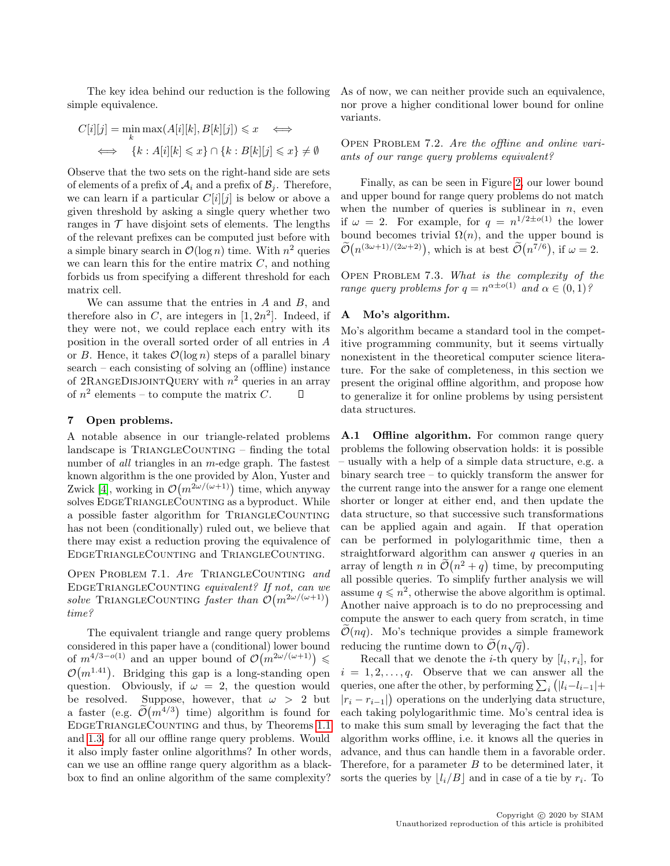The key idea behind our reduction is the following simple equivalence.

$$
C[i][j] = \min_{k} \max(A[i][k], B[k][j]) \leq x \iff
$$
  

$$
\iff \{k : A[i][k] \leq x\} \cap \{k : B[k][j] \leq x\} \neq \emptyset
$$

Observe that the two sets on the right-hand side are sets of elements of a prefix of  $A_i$  and a prefix of  $B_j$ . Therefore, we can learn if a particular  $C[i][j]$  is below or above a given threshold by asking a single query whether two ranges in  $\mathcal T$  have disjoint sets of elements. The lengths of the relevant prefixes can be computed just before with a simple binary search in  $\mathcal{O}(\log n)$  time. With  $n^2$  queries we can learn this for the entire matrix  $C$ , and nothing forbids us from specifying a different threshold for each matrix cell.

We can assume that the entries in A and B, and therefore also in C, are integers in  $[1, 2n^2]$ . Indeed, if they were not, we could replace each entry with its position in the overall sorted order of all entries in A or B. Hence, it takes  $\mathcal{O}(\log n)$  steps of a parallel binary search – each consisting of solving an (offline) instance of 2RANGEDISJOINTQUERY with  $n^2$  queries in an array of  $n^2$  elements – to compute the matrix C. П

#### 7 Open problems.

A notable absence in our triangle-related problems  $land \text{scale}$  is  $Tr$  and  $Tr$  and  $Tr$  and  $Tr$  and  $Tr$  and  $Tr$  and  $Tr$  and  $Tr$  and  $Tr$  and  $Tr$  and  $Tr$  and  $Tr$  and  $Tr$  and  $Tr$  and  $Tr$  and  $Tr$  and  $Tr$  and  $Tr$  and  $Tr$  and  $Tr$  and  $Tr$  and  $Tr$  and  $Tr$  and  $Tr$  and  $Tr$  and  $Tr$  and number of all triangles in an *m*-edge graph. The fastest known algorithm is the one provided by Alon, Yuster and Zwick [\[4\]](#page-15-0), working in  $\mathcal{O}(m^{2\omega/(\omega+1)})$  time, which anyway solves EDGETRIANGLECOUNTING as a byproduct. While a possible faster algorithm for TRIANGLECOUNTING has not been (conditionally) ruled out, we believe that there may exist a reduction proving the equivalence of EdgeTriangleCounting and TriangleCounting.

OPEN PROBLEM 7.1. Are TRIANGLECOUNTING and EDGETRIANGLECOUNTING equivalent? If not, can we solve TRIANGLECOUNTING faster than  $\mathcal{O}(m^{2\omega/(\omega+1)})$ time?

The equivalent triangle and range query problems considered in this paper have a (conditional) lower bound of  $m^{4/3-o(1)}$  and an upper bound of  $\mathcal{O}(m^{2\omega/(\omega+1)}) \leq$  $\mathcal{O}(m^{1.41})$ . Bridging this gap is a long-standing open question. Obviously, if  $\omega = 2$ , the question would be resolved. Suppose, however, that  $\omega > 2$  but a faster (e.g.  $\tilde{\mathcal{O}}(m^{4/3})$  time) algorithm is found for EdgeTriangleCounting and thus, by Theorems [1.1](#page-2-1) and [1.3,](#page-3-1) for all our offline range query problems. Would it also imply faster online algorithms? In other words, can we use an offline range query algorithm as a blackbox to find an online algorithm of the same complexity? As of now, we can neither provide such an equivalence, nor prove a higher conditional lower bound for online variants.

OPEN PROBLEM 7.2. Are the offline and online variants of our range query problems equivalent?

Finally, as can be seen in Figure [2,](#page-13-1) our lower bound and upper bound for range query problems do not match when the number of queries is sublinear in  $n$ , even if  $\omega = 2$ . For example, for  $q = n^{1/2 \pm o(1)}$  the lower bound becomes trivial  $\Omega(n)$ , and the upper bound is  $\tilde{\mathcal{O}}(n^{(3\omega+1)/(2\omega+2)})$ , which is at best  $\tilde{\mathcal{O}}(n^{7/6})$ , if  $\omega = 2$ .

OPEN PROBLEM 7.3. What is the complexity of the range query problems for  $q = n^{\alpha \pm o(1)}$  and  $\alpha \in (0,1)$ ?

# <span id="page-14-0"></span>A Mo's algorithm.

Mo's algorithm became a standard tool in the competitive programming community, but it seems virtually nonexistent in the theoretical computer science literature. For the sake of completeness, in this section we present the original offline algorithm, and propose how to generalize it for online problems by using persistent data structures.

A.1 Offline algorithm. For common range query problems the following observation holds: it is possible – usually with a help of a simple data structure, e.g. a binary search tree – to quickly transform the answer for the current range into the answer for a range one element shorter or longer at either end, and then update the data structure, so that successive such transformations can be applied again and again. If that operation can be performed in polylogarithmic time, then a straightforward algorithm can answer  $q$  queries in an array of length n in  $\mathcal{O}(n^2 + q)$  time, by precomputing all possible queries. To simplify further analysis we will assume  $q \leq n^2$ , otherwise the above algorithm is optimal. Another naive approach is to do no preprocessing and compute the answer to each query from scratch, in time  $\mathcal{O}(nq)$ . Mo's technique provides a simple framework reducing the runtime down to  $\widetilde{\mathcal{O}}(n\sqrt{q})$ .

Recall that we denote the *i*-th query by  $[l_i, r_i]$ , for  $i = 1, 2, \ldots, q$ . Observe that we can answer all the queries, one after the other, by performing  $\sum_i (|l_i - l_{i-1}| +$  $|r_i - r_{i-1}|$  operations on the underlying data structure, each taking polylogarithmic time. Mo's central idea is to make this sum small by leveraging the fact that the algorithm works offline, i.e. it knows all the queries in advance, and thus can handle them in a favorable order. Therefore, for a parameter  $B$  to be determined later, it sorts the queries by  $\lfloor l_i/B \rfloor$  and in case of a tie by  $r_i$ . To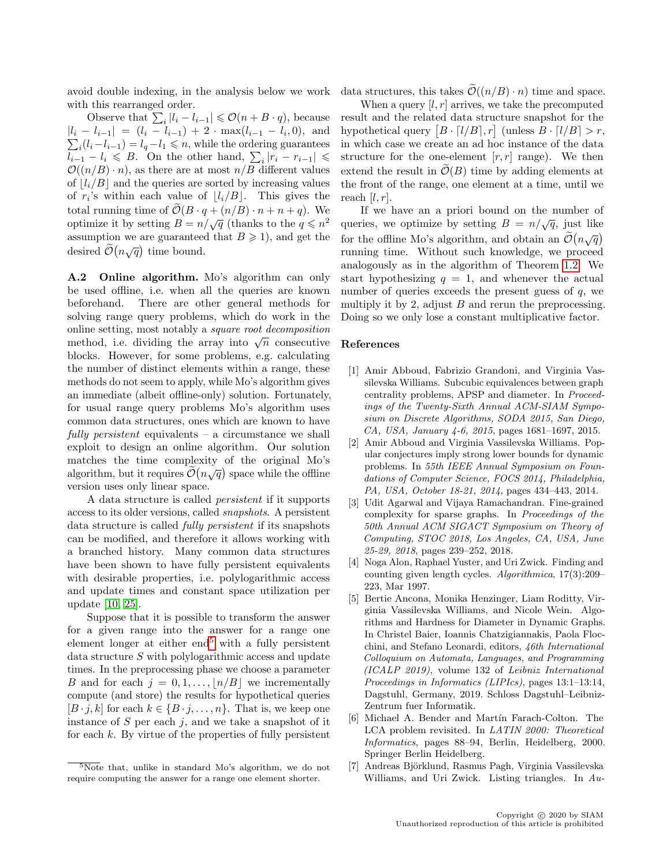avoid double indexing, in the analysis below we work with this rearranged order.

Observe that  $\sum_{i} |l_i - l_{i-1}| \leq \mathcal{O}(n + B \cdot q)$ , because  $|l_i - l_{i-1}| = (l_i - l_{i-1}) + 2 \cdot \max(l_{i-1} - l_i, 0)$ , and  $\sum_i (l_i - l_{i-1}) = l_q - l_1 \le n$ , while the ordering guarantees  $\overline{l_{i-1}} - l_i \leqslant B$ . On the other hand,  $\sum_i |r_i - r_{i-1}| \leqslant$  $\mathcal{O}((n/B) \cdot n)$ , as there are at most  $n/B$  different values of  $\lfloor l_i/B \rfloor$  and the queries are sorted by increasing values of  $r_i$ 's within each value of  $\lfloor l_i/B \rfloor$ . This gives the total running time of  $\widetilde{\mathcal{O}}(B \cdot q + (n/B) \cdot n + n + q)$ . We optimize it by setting  $B = n/\sqrt{q}$  (thanks to the  $q \leq n^2$ ) assumption we are guaranteed that  $B \ge 1$ , and get the desired  $\widetilde{\mathcal{O}}(n\sqrt{q})$  time bound.

A.2 Online algorithm. Mo's algorithm can only be used offline, i.e. when all the queries are known beforehand. There are other general methods for solving range query problems, which do work in the online setting, most notably a square root decomposition omine setting, most notably a *square root aecomposition* method, i.e. dividing the array into  $\sqrt{n}$  consecutive blocks. However, for some problems, e.g. calculating the number of distinct elements within a range, these methods do not seem to apply, while Mo's algorithm gives an immediate (albeit offline-only) solution. Fortunately, for usual range query problems Mo's algorithm uses common data structures, ones which are known to have fully persistent equivalents – a circumstance we shall exploit to design an online algorithm. Our solution matches the time complexity of the original Mo's algorithm, but it requires  $\tilde{\mathcal{O}}(n\sqrt{q})$  space while the offline version uses only linear space.

A data structure is called persistent if it supports access to its older versions, called snapshots. A persistent data structure is called fully persistent if its snapshots can be modified, and therefore it allows working with a branched history. Many common data structures have been shown to have fully persistent equivalents with desirable properties, i.e. polylogarithmic access and update times and constant space utilization per update [\[10,](#page-16-22) [25\]](#page-16-23).

Suppose that it is possible to transform the answer for a given range into the answer for a range one element longer at either  $end<sup>5</sup>$  $end<sup>5</sup>$  $end<sup>5</sup>$  with a fully persistent data structure S with polylogarithmic access and update times. In the preprocessing phase we choose a parameter B and for each  $j = 0, 1, \ldots, \lfloor n/B \rfloor$  we incrementally compute (and store) the results for hypothetical queries  $[B \cdot j, k]$  for each  $k \in \{B \cdot j, \ldots, n\}$ . That is, we keep one instance of  $S$  per each  $j$ , and we take a snapshot of it for each  $k$ . By virtue of the properties of fully persistent

data structures, this takes  $\widetilde{\mathcal{O}}((n/B) \cdot n)$  time and space.

When a query  $[l, r]$  arrives, we take the precomputed result and the related data structure snapshot for the hypothetical query  $[B \cdot [l/B], r]$  (unless  $B \cdot [l/B] > r$ , in which case we create an ad hoc instance of the data structure for the one-element  $[r, r]$  range). We then extend the result in  $\tilde{\mathcal{O}}(B)$  time by adding elements at the front of the range, one element at a time, until we reach  $[l, r]$ .

If we have an a priori bound on the number of queries, we optimize by setting  $B = n/\sqrt{q}$ , just like for the offline Mo's algorithm, and obtain an  $\tilde{\mathcal{O}}(n\sqrt{q})$ running time. Without such knowledge, we proceed analogously as in the algorithm of Theorem [1.2:](#page-2-4) We start hypothesizing  $q = 1$ , and whenever the actual number of queries exceeds the present guess of  $q$ , we multiply it by 2, adjust  $B$  and rerun the preprocessing. Doing so we only lose a constant multiplicative factor.

### References

- <span id="page-15-5"></span>[1] Amir Abboud, Fabrizio Grandoni, and Virginia Vassilevska Williams. Subcubic equivalences between graph centrality problems, APSP and diameter. In Proceedings of the Twenty-Sixth Annual ACM-SIAM Symposium on Discrete Algorithms, SODA 2015, San Diego, CA, USA, January 4-6, 2015, pages 1681–1697, 2015.
- <span id="page-15-2"></span>[2] Amir Abboud and Virginia Vassilevska Williams. Popular conjectures imply strong lower bounds for dynamic problems. In 55th IEEE Annual Symposium on Foundations of Computer Science, FOCS 2014, Philadelphia, PA, USA, October 18-21, 2014, pages 434–443, 2014.
- <span id="page-15-4"></span>[3] Udit Agarwal and Vijaya Ramachandran. Fine-grained complexity for sparse graphs. In Proceedings of the 50th Annual ACM SIGACT Symposium on Theory of Computing, STOC 2018, Los Angeles, CA, USA, June 25-29, 2018, pages 239–252, 2018.
- <span id="page-15-0"></span>[4] Noga Alon, Raphael Yuster, and Uri Zwick. Finding and counting given length cycles. Algorithmica, 17(3):209– 223, Mar 1997.
- <span id="page-15-3"></span>[5] Bertie Ancona, Monika Henzinger, Liam Roditty, Virginia Vassilevska Williams, and Nicole Wein. Algorithms and Hardness for Diameter in Dynamic Graphs. In Christel Baier, Ioannis Chatzigiannakis, Paola Flocchini, and Stefano Leonardi, editors, 46th International Colloquium on Automata, Languages, and Programming (ICALP 2019), volume 132 of Leibniz International Proceedings in Informatics (LIPIcs), pages 13:1–13:14, Dagstuhl, Germany, 2019. Schloss Dagstuhl–Leibniz-Zentrum fuer Informatik.
- <span id="page-15-6"></span>[6] Michael A. Bender and Martín Farach-Colton. The LCA problem revisited. In LATIN 2000: Theoretical Informatics, pages 88–94, Berlin, Heidelberg, 2000. Springer Berlin Heidelberg.
- <span id="page-15-1"></span>[7] Andreas Björklund, Rasmus Pagh, Virginia Vassilevska Williams, and Uri Zwick. Listing triangles. In Au-

<span id="page-15-7"></span> $5$ Note that, unlike in standard Mo's algorithm, we do not require computing the answer for a range one element shorter.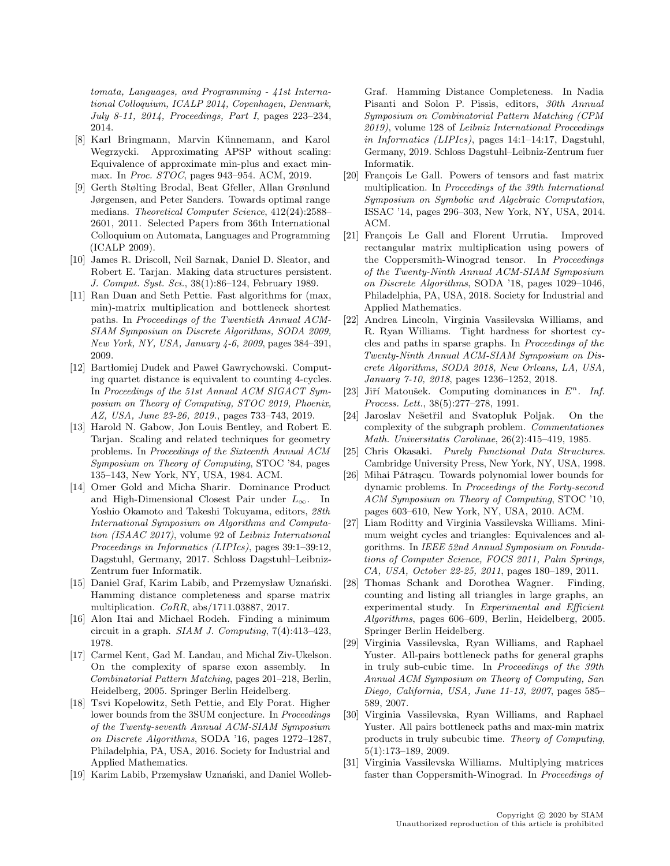tomata, Languages, and Programming - 41st International Colloquium, ICALP 2014, Copenhagen, Denmark, July 8-11, 2014, Proceedings, Part I, pages 223–234, 2014.

- <span id="page-16-17"></span>[8] Karl Bringmann, Marvin Künnemann, and Karol Wegrzycki. Approximating APSP without scaling: Equivalence of approximate min-plus and exact minmax. In Proc. STOC, pages 943–954. ACM, 2019.
- <span id="page-16-11"></span>[9] Gerth Stølting Brodal, Beat Gfeller, Allan Grønlund Jørgensen, and Peter Sanders. Towards optimal range medians. Theoretical Computer Science, 412(24):2588– 2601, 2011. Selected Papers from 36th International Colloquium on Automata, Languages and Programming (ICALP 2009).
- <span id="page-16-22"></span>[10] James R. Driscoll, Neil Sarnak, Daniel D. Sleator, and Robert E. Tarjan. Making data structures persistent. J. Comput. Syst. Sci., 38(1):86–124, February 1989.
- <span id="page-16-16"></span>[11] Ran Duan and Seth Pettie. Fast algorithms for (max, min)-matrix multiplication and bottleneck shortest paths. In Proceedings of the Twentieth Annual ACM-SIAM Symposium on Discrete Algorithms, SODA 2009, New York, NY, USA, January 4-6, 2009, pages 384–391, 2009.
- <span id="page-16-8"></span>[12] Bartłomiej Dudek and Paweł Gawrychowski. Computing quartet distance is equivalent to counting 4-cycles. In Proceedings of the 51st Annual ACM SIGACT Symposium on Theory of Computing, STOC 2019, Phoenix, AZ, USA, June 23-26, 2019., pages 733–743, 2019.
- <span id="page-16-10"></span>[13] Harold N. Gabow, Jon Louis Bentley, and Robert E. Tarjan. Scaling and related techniques for geometry problems. In Proceedings of the Sixteenth Annual ACM Symposium on Theory of Computing, STOC '84, pages 135–143, New York, NY, USA, 1984. ACM.
- <span id="page-16-20"></span>[14] Omer Gold and Micha Sharir. Dominance Product and High-Dimensional Closest Pair under  $L_{\infty}$ . In Yoshio Okamoto and Takeshi Tokuyama, editors, 28th International Symposium on Algorithms and Computation (ISAAC 2017), volume 92 of Leibniz International Proceedings in Informatics (LIPIcs), pages 39:1–39:12, Dagstuhl, Germany, 2017. Schloss Dagstuhl–Leibniz-Zentrum fuer Informatik.
- <span id="page-16-18"></span>[15] Daniel Graf, Karim Labib, and Przemysław Uznański. Hamming distance completeness and sparse matrix multiplication. CoRR, abs/1711.03887, 2017.
- <span id="page-16-0"></span>[16] Alon Itai and Michael Rodeh. Finding a minimum circuit in a graph. SIAM J. Computing,  $7(4)$ :413-423, 1978.
- <span id="page-16-9"></span>[17] Carmel Kent, Gad M. Landau, and Michal Ziv-Ukelson. On the complexity of sparse exon assembly. In Combinatorial Pattern Matching, pages 201–218, Berlin, Heidelberg, 2005. Springer Berlin Heidelberg.
- <span id="page-16-4"></span>[18] Tsvi Kopelowitz, Seth Pettie, and Ely Porat. Higher lower bounds from the 3SUM conjecture. In Proceedings of the Twenty-seventh Annual ACM-SIAM Symposium on Discrete Algorithms, SODA '16, pages 1272–1287, Philadelphia, PA, USA, 2016. Society for Industrial and Applied Mathematics.
- <span id="page-16-12"></span>[19] Karim Labib, Przemysław Uznański, and Daniel Wolleb-

Graf. Hamming Distance Completeness. In Nadia Pisanti and Solon P. Pissis, editors, 30th Annual Symposium on Combinatorial Pattern Matching (CPM 2019), volume 128 of Leibniz International Proceedings in Informatics (LIPIcs), pages 14:1–14:17, Dagstuhl, Germany, 2019. Schloss Dagstuhl–Leibniz-Zentrum fuer Informatik.

- <span id="page-16-2"></span>[20] François Le Gall. Powers of tensors and fast matrix multiplication. In Proceedings of the 39th International Symposium on Symbolic and Algebraic Computation, ISSAC '14, pages 296–303, New York, NY, USA, 2014. ACM.
- <span id="page-16-21"></span>[21] François Le Gall and Florent Urrutia. Improved rectangular matrix multiplication using powers of the Coppersmith-Winograd tensor. In Proceedings of the Twenty-Ninth Annual ACM-SIAM Symposium on Discrete Algorithms, SODA '18, pages 1029–1046, Philadelphia, PA, USA, 2018. Society for Industrial and Applied Mathematics.
- <span id="page-16-7"></span>[22] Andrea Lincoln, Virginia Vassilevska Williams, and R. Ryan Williams. Tight hardness for shortest cycles and paths in sparse graphs. In Proceedings of the Twenty-Ninth Annual ACM-SIAM Symposium on Discrete Algorithms, SODA 2018, New Orleans, LA, USA, January 7-10, 2018, pages 1236–1252, 2018.
- <span id="page-16-19"></span>[23] Jiří Matoušek. Computing dominances in  $E<sup>n</sup>$ . Inf. Process. Lett., 38(5):277–278, 1991.
- <span id="page-16-5"></span>[24] Jaroslav Nešetřil and Svatopluk Poljak. On the complexity of the subgraph problem. Commentationes Math. Universitatis Carolinae, 26(2):415–419, 1985.
- <span id="page-16-23"></span>[25] Chris Okasaki. Purely Functional Data Structures. Cambridge University Press, New York, NY, USA, 1998.
- <span id="page-16-3"></span>[26] Mihai Pǎtraşcu. Towards polynomial lower bounds for dynamic problems. In Proceedings of the Forty-second ACM Symposium on Theory of Computing, STOC '10, pages 603–610, New York, NY, USA, 2010. ACM.
- <span id="page-16-6"></span>[27] Liam Roditty and Virginia Vassilevska Williams. Minimum weight cycles and triangles: Equivalences and algorithms. In IEEE 52nd Annual Symposium on Foundations of Computer Science, FOCS 2011, Palm Springs, CA, USA, October 22-25, 2011, pages 180–189, 2011.
- <span id="page-16-13"></span>[28] Thomas Schank and Dorothea Wagner. Finding, counting and listing all triangles in large graphs, an experimental study. In Experimental and Efficient Algorithms, pages 606–609, Berlin, Heidelberg, 2005. Springer Berlin Heidelberg.
- <span id="page-16-14"></span>[29] Virginia Vassilevska, Ryan Williams, and Raphael Yuster. All-pairs bottleneck paths for general graphs in truly sub-cubic time. In Proceedings of the 39th Annual ACM Symposium on Theory of Computing, San Diego, California, USA, June 11-13, 2007, pages 585– 589, 2007.
- <span id="page-16-15"></span>[30] Virginia Vassilevska, Ryan Williams, and Raphael Yuster. All pairs bottleneck paths and max-min matrix products in truly subcubic time. Theory of Computing, 5(1):173–189, 2009.
- <span id="page-16-1"></span>[31] Virginia Vassilevska Williams. Multiplying matrices faster than Coppersmith-Winograd. In Proceedings of